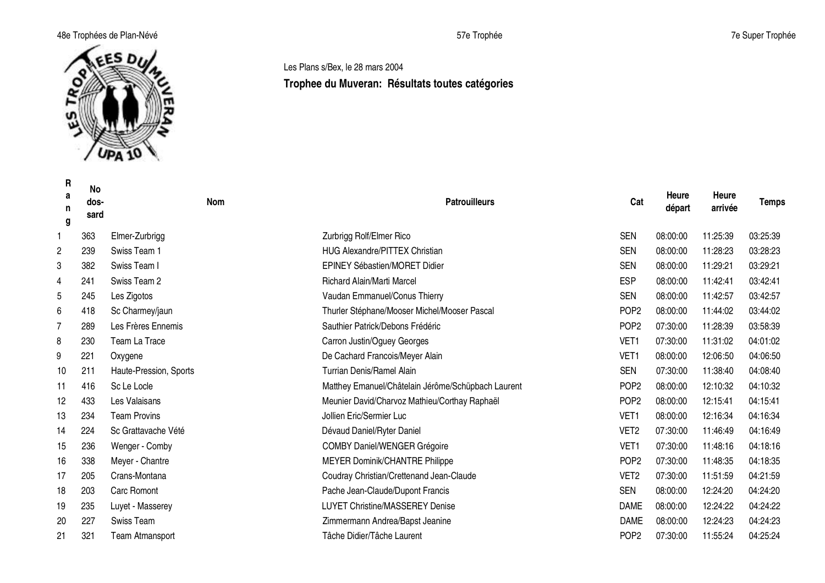### 48e Trophées de Plan-Névé 57e Trophée 7e Super Trophée



**R a n g No dossard Nom Patrouilleurs Cat Heure départ Heure arrivée Temps** 1 363 Elmer-Zurbrigg **Contained Automobile Contained Automobile 2018** 20:00:00 20:00:00 20:25:39 03:25:39 03:25:39 2 239 Swiss Team 1 HUG Alexandre/PITTEX Christian SEN 08:00:00 11:28:23 03:28:23 3 382 Swiss Team I EPINEY Sébastien/MORET Didier SEN 08:00:00 11:29:21 03:29:21 4 241 Swiss Team 2 Richard Alain/Marti Marcel ESP 08:00:00 11:42:41 03:42:41 5 245 Les Zigotos **SEN** 08:00:00 11:42:57 03:42:57 6 418 Sc Charmey/jaun Thurler Stéphane/Mooser Michel/Mooser Pascal POP2 08:00:00 11:44:02 03:44:02 7 289 Les Frères Ennemis Sauthier Patrick/Debons Frédéric POP2 07:30:00 11:28:39 03:58:39 8 230 Team La Trace **Carron Justin/Oguey Georges** VET1 07:30:00 11:31:02 04:01:02 9 221 Oxygene De Cachard Francois/Meyer Alain VET1 08:00:00 12:06:50 04:06:50 10 211 Haute-Pression, Sports Turrian Denis/Ramel Alain SEN 07:30:00 11:38:40 04:08:40 11 416 Sc Le Locle Matthey Emanuel/Châtelain Jérôme/Schüpbach Laurent POP2 08:00:00 12:10:32 04:10:32 12 433 Les Valaisans **Meunier David/Charvoz Mathieu/Corthay Raphaël** POP2 08:00:00 12:15:41 04:15:41 13 234 Team Provins Jollien Eric/Sermier Luc VET1 08:00:00 12:16:34 04:16:34 14 224 Sc Grattavache Vété Dévaud Daniel/Ryter Daniel VET2 07:30:00 11:46:49 04:16:49 15 236 Wenger - Comby COMBY Daniel/WENGER Grégoire VET1 07:30:00 11:48:16 04:18:16 16 338 Meyer - Chantre **MEYER Dominik/CHANTRE Philippe New Straight American Control of the Straight American Control of the Straight American Control of the Straight American Control of the MEYER Dominik/CHANTRE Philipp** 17 205 Crans-Montana Coudray Christian/Crettenand Jean-Claude VET2 07:30:00 11:51:59 04:21:59 18 203 Carc Romont Pache Jean-Claude/Dupont Francis SEN 08:00:00 12:24:20 04:24:20 19 235 Luyet - Masserey LUYET Christine/MASSEREY Denise DAME 08:00:00 12:24:22 04:24:22 20 227 Swiss Team Zimmermann Andrea/Bapst Jeanine DAME 08:00:00 12:24:23 04:24:23

21 321 Team Atmansport Tâche Didier/Tâche Laurent POP2 07:30:00 11:55:24 04:25:24

## Les Plans s/Bex, le 28 mars 2004 **Trophee du Muveran: Résultats toutes catégories**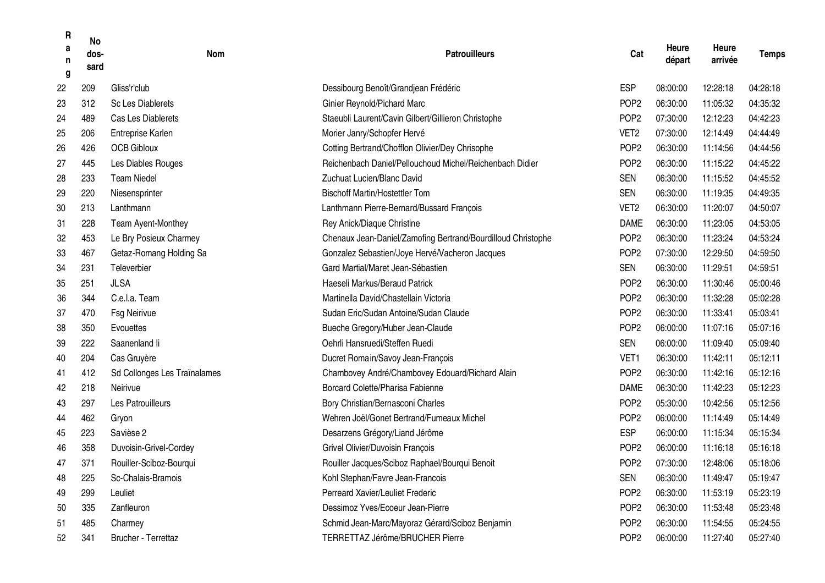| R<br>a<br>n<br>g | <b>No</b><br>dos-<br>sard | Nom                          | <b>Patrouilleurs</b>                                         | Cat              | Heure<br>départ | Heure<br>arrivée | <b>Temps</b> |
|------------------|---------------------------|------------------------------|--------------------------------------------------------------|------------------|-----------------|------------------|--------------|
| 22               | 209                       | Gliss'r'club                 | Dessibourg Benoît/Grandjean Frédéric                         | <b>ESP</b>       | 08:00:00        | 12:28:18         | 04:28:18     |
| 23               | 312                       | <b>Sc Les Diablerets</b>     | Ginier Reynold/Pichard Marc                                  | POP <sub>2</sub> | 06:30:00        | 11:05:32         | 04:35:32     |
| 24               | 489                       | Cas Les Diablerets           | Staeubli Laurent/Cavin Gilbert/Gillieron Christophe          | POP <sub>2</sub> | 07:30:00        | 12:12:23         | 04:42:23     |
| 25               | 206                       | Entreprise Karlen            | Morier Janry/Schopfer Hervé                                  | VET <sub>2</sub> | 07:30:00        | 12:14:49         | 04:44:49     |
| 26               | 426                       | <b>OCB Gibloux</b>           | Cotting Bertrand/Chofflon Olivier/Dey Chrisophe              | POP <sub>2</sub> | 06:30:00        | 11:14:56         | 04:44:56     |
| 27               | 445                       | Les Diables Rouges           | Reichenbach Daniel/Pellouchoud Michel/Reichenbach Didier     | POP <sub>2</sub> | 06:30:00        | 11:15:22         | 04:45:22     |
| 28               | 233                       | <b>Team Niedel</b>           | Zuchuat Lucien/Blanc David                                   | <b>SEN</b>       | 06:30:00        | 11:15:52         | 04:45:52     |
| 29               | 220                       | Niesensprinter               | <b>Bischoff Martin/Hostettler Tom</b>                        | <b>SEN</b>       | 06:30:00        | 11:19:35         | 04:49:35     |
| 30               | 213                       | Lanthmann                    | Lanthmann Pierre-Bernard/Bussard François                    | VET <sub>2</sub> | 06:30:00        | 11:20:07         | 04:50:07     |
| 31               | 228                       | Team Ayent-Monthey           | Rey Anick/Diaque Christine                                   | <b>DAME</b>      | 06:30:00        | 11:23:05         | 04:53:05     |
| 32               | 453                       | Le Bry Posieux Charmey       | Chenaux Jean-Daniel/Zamofing Bertrand/Bourdilloud Christophe | POP <sub>2</sub> | 06:30:00        | 11:23:24         | 04:53:24     |
| 33               | 467                       | Getaz-Romang Holding Sa      | Gonzalez Sebastien/Joye Hervé/Vacheron Jacques               | POP <sub>2</sub> | 07:30:00        | 12:29:50         | 04:59:50     |
| 34               | 231                       | Televerbier                  | Gard Martial/Maret Jean-Sébastien                            | <b>SEN</b>       | 06:30:00        | 11:29:51         | 04:59:51     |
| 35               | 251                       | <b>JLSA</b>                  | Haeseli Markus/Beraud Patrick                                | POP <sub>2</sub> | 06:30:00        | 11:30:46         | 05:00:46     |
| 36               | 344                       | C.e.l.a. Team                | Martinella David/Chastellain Victoria                        | POP <sub>2</sub> | 06:30:00        | 11:32:28         | 05:02:28     |
| 37               | 470                       | <b>Fsg Neirivue</b>          | Sudan Eric/Sudan Antoine/Sudan Claude                        | POP <sub>2</sub> | 06:30:00        | 11:33:41         | 05:03:41     |
| 38               | 350                       | Evouettes                    | Bueche Gregory/Huber Jean-Claude                             | POP <sub>2</sub> | 06:00:00        | 11:07:16         | 05:07:16     |
| 39               | 222                       | Saanenland li                | Oehrli Hansruedi/Steffen Ruedi                               | <b>SEN</b>       | 06:00:00        | 11:09:40         | 05:09:40     |
| 40               | 204                       | Cas Gruyère                  | Ducret Romain/Savoy Jean-François                            | VET <sub>1</sub> | 06:30:00        | 11:42:11         | 05:12:11     |
| 41               | 412                       | Sd Collonges Les Traïnalames | Chambovey André/Chambovey Edouard/Richard Alain              | POP <sub>2</sub> | 06:30:00        | 11:42:16         | 05:12:16     |
| 42               | 218                       | Neirivue                     | Borcard Colette/Pharisa Fabienne                             | <b>DAME</b>      | 06:30:00        | 11:42:23         | 05:12:23     |
| 43               | 297                       | Les Patrouilleurs            | Bory Christian/Bernasconi Charles                            | POP <sub>2</sub> | 05:30:00        | 10:42:56         | 05:12:56     |
| 44               | 462                       | Gryon                        | Wehren Joël/Gonet Bertrand/Fumeaux Michel                    | POP <sub>2</sub> | 06:00:00        | 11:14:49         | 05:14:49     |
| 45               | 223                       | Savièse 2                    | Desarzens Grégory/Liand Jérôme                               | <b>ESP</b>       | 06:00:00        | 11:15:34         | 05:15:34     |
| 46               | 358                       | Duvoisin-Grivel-Cordey       | Grivel Olivier/Duvoisin François                             | POP <sub>2</sub> | 06:00:00        | 11:16:18         | 05:16:18     |
| 47               | 371                       | Rouiller-Sciboz-Bourqui      | Rouiller Jacques/Sciboz Raphael/Bourqui Benoit               | POP <sub>2</sub> | 07:30:00        | 12:48:06         | 05:18:06     |
| 48               | 225                       | Sc-Chalais-Bramois           | Kohl Stephan/Favre Jean-Francois                             | <b>SEN</b>       | 06:30:00        | 11:49:47         | 05:19:47     |
| 49               | 299                       | Leuliet                      | Perreard Xavier/Leuliet Frederic                             | POP <sub>2</sub> | 06:30:00        | 11:53:19         | 05:23:19     |
| 50               | 335                       | Zanfleuron                   | Dessimoz Yves/Ecoeur Jean-Pierre                             | POP <sub>2</sub> | 06:30:00        | 11:53:48         | 05:23:48     |
| 51               | 485                       | Charmey                      | Schmid Jean-Marc/Mayoraz Gérard/Sciboz Benjamin              | POP <sub>2</sub> | 06:30:00        | 11:54:55         | 05:24:55     |
| 52               | 341                       | Brucher - Terrettaz          | TERRETTAZ Jérôme/BRUCHER Pierre                              | POP <sub>2</sub> | 06:00:00        | 11:27:40         | 05:27:40     |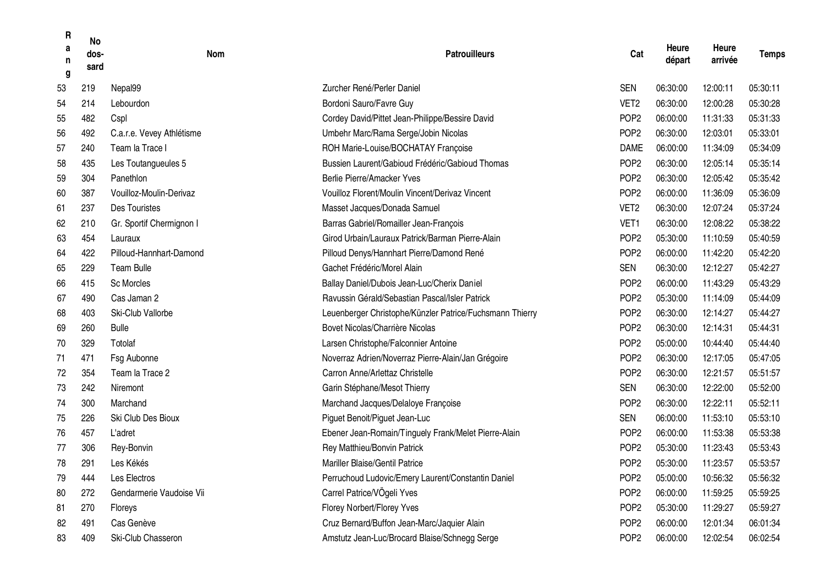| R<br>a<br>n<br>g | <b>No</b><br>dos-<br>sard | <b>Nom</b>                | <b>Patrouilleurs</b>                                     | Cat              | Heure<br>départ | Heure<br>arrivée | <b>Temps</b> |
|------------------|---------------------------|---------------------------|----------------------------------------------------------|------------------|-----------------|------------------|--------------|
| 53               | 219                       | Nepal99                   | Zurcher René/Perler Daniel                               | <b>SEN</b>       | 06:30:00        | 12:00:11         | 05:30:11     |
| 54               | 214                       | Lebourdon                 | Bordoni Sauro/Favre Guy                                  | VET <sub>2</sub> | 06:30:00        | 12:00:28         | 05:30:28     |
| 55               | 482                       | Cspl                      | Cordey David/Pittet Jean-Philippe/Bessire David          | POP <sub>2</sub> | 06:00:00        | 11:31:33         | 05:31:33     |
| 56               | 492                       | C.a.r.e. Vevey Athlétisme | Umbehr Marc/Rama Serge/Jobin Nicolas                     | POP <sub>2</sub> | 06:30:00        | 12:03:01         | 05:33:01     |
| 57               | 240                       | Team la Trace I           | ROH Marie-Louise/BOCHATAY Françoise                      | <b>DAME</b>      | 06:00:00        | 11:34:09         | 05:34:09     |
| 58               | 435                       | Les Toutangueules 5       | Bussien Laurent/Gabioud Frédéric/Gabioud Thomas          | POP <sub>2</sub> | 06:30:00        | 12:05:14         | 05:35:14     |
| 59               | 304                       | Panethlon                 | Berlie Pierre/Amacker Yves                               | POP <sub>2</sub> | 06:30:00        | 12:05:42         | 05:35:42     |
| 60               | 387                       | Vouilloz-Moulin-Derivaz   | Vouilloz Florent/Moulin Vincent/Derivaz Vincent          | POP <sub>2</sub> | 06:00:00        | 11:36:09         | 05:36:09     |
| 61               | 237                       | Des Touristes             | Masset Jacques/Donada Samuel                             | VET <sub>2</sub> | 06:30:00        | 12:07:24         | 05:37:24     |
| 62               | 210                       | Gr. Sportif Chermignon I  | Barras Gabriel/Romailler Jean-François                   | VET <sub>1</sub> | 06:30:00        | 12:08:22         | 05:38:22     |
| 63               | 454                       | Lauraux                   | Girod Urbain/Lauraux Patrick/Barman Pierre-Alain         | POP <sub>2</sub> | 05:30:00        | 11:10:59         | 05:40:59     |
| 64               | 422                       | Pilloud-Hannhart-Damond   | Pilloud Denys/Hannhart Pierre/Damond René                | POP <sub>2</sub> | 06:00:00        | 11:42:20         | 05:42:20     |
| 65               | 229                       | <b>Team Bulle</b>         | Gachet Frédéric/Morel Alain                              | <b>SEN</b>       | 06:30:00        | 12:12:27         | 05:42:27     |
| 66               | 415                       | <b>Sc Morcles</b>         | Ballay Daniel/Dubois Jean-Luc/Cherix Daniel              | POP <sub>2</sub> | 06:00:00        | 11:43:29         | 05:43:29     |
| 67               | 490                       | Cas Jaman 2               | Ravussin Gérald/Sebastian Pascal/Isler Patrick           | POP <sub>2</sub> | 05:30:00        | 11:14:09         | 05:44:09     |
| 68               | 403                       | Ski-Club Vallorbe         | Leuenberger Christophe/Künzler Patrice/Fuchsmann Thierry | POP <sub>2</sub> | 06:30:00        | 12:14:27         | 05:44:27     |
| 69               | 260                       | <b>Bulle</b>              | Bovet Nicolas/Charrière Nicolas                          | POP <sub>2</sub> | 06:30:00        | 12:14:31         | 05:44:31     |
| 70               | 329                       | Totolaf                   | Larsen Christophe/Falconnier Antoine                     | POP <sub>2</sub> | 05:00:00        | 10:44:40         | 05:44:40     |
| 71               | 471                       | Fsg Aubonne               | Noverraz Adrien/Noverraz Pierre-Alain/Jan Grégoire       | POP <sub>2</sub> | 06:30:00        | 12:17:05         | 05:47:05     |
| 72               | 354                       | Team la Trace 2           | Carron Anne/Arlettaz Christelle                          | POP <sub>2</sub> | 06:30:00        | 12:21:57         | 05:51:57     |
| 73               | 242                       | Niremont                  | Garin Stéphane/Mesot Thierry                             | <b>SEN</b>       | 06:30:00        | 12:22:00         | 05:52:00     |
| 74               | 300                       | Marchand                  | Marchand Jacques/Delaloye Françoise                      | POP <sub>2</sub> | 06:30:00        | 12:22:11         | 05:52:11     |
| 75               | 226                       | Ski Club Des Bioux        | Piguet Benoit/Piguet Jean-Luc                            | <b>SEN</b>       | 06:00:00        | 11:53:10         | 05:53:10     |
| 76               | 457                       | L'adret                   | Ebener Jean-Romain/Tinguely Frank/Melet Pierre-Alain     | POP <sub>2</sub> | 06:00:00        | 11:53:38         | 05:53:38     |
| 77               | 306                       | Rey-Bonvin                | Rey Matthieu/Bonvin Patrick                              | POP <sub>2</sub> | 05:30:00        | 11:23:43         | 05:53:43     |
| 78               | 291                       | Les Kékés                 | Mariller Blaise/Gentil Patrice                           | POP <sub>2</sub> | 05:30:00        | 11:23:57         | 05:53:57     |
| 79               | 444                       | Les Electros              | Perruchoud Ludovic/Emery Laurent/Constantin Daniel       | POP <sub>2</sub> | 05:00:00        | 10:56:32         | 05:56:32     |
| 80               | 272                       | Gendarmerie Vaudoise Vii  | Carrel Patrice/VÖgeli Yves                               | POP <sub>2</sub> | 06:00:00        | 11:59:25         | 05:59:25     |
| 81               | 270                       | Floreys                   | Florey Norbert/Florey Yves                               | POP <sub>2</sub> | 05:30:00        | 11:29:27         | 05:59:27     |
| 82               | 491                       | Cas Genève                | Cruz Bernard/Buffon Jean-Marc/Jaquier Alain              | POP <sub>2</sub> | 06:00:00        | 12:01:34         | 06:01:34     |
| 83               | 409                       | Ski-Club Chasseron        | Amstutz Jean-Luc/Brocard Blaise/Schnegg Serge            | POP <sub>2</sub> | 06:00:00        | 12:02:54         | 06:02:54     |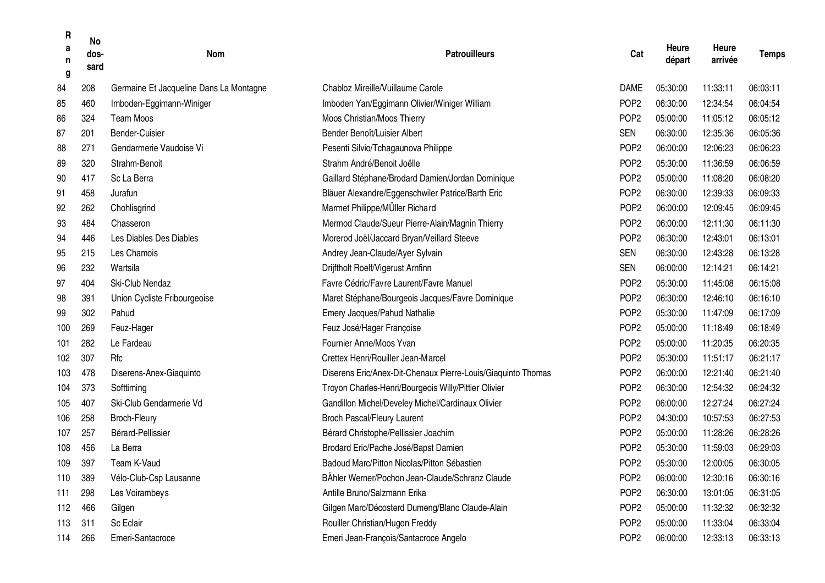| R<br>a<br>n<br>g | <b>No</b><br>dos-<br>sard | <b>Nom</b>                              | <b>Patrouilleurs</b>                                         | Cat              | Heure<br>départ | Heure<br>arrivée | <b>Temps</b> |
|------------------|---------------------------|-----------------------------------------|--------------------------------------------------------------|------------------|-----------------|------------------|--------------|
| 84               | 208                       | Germaine Et Jacqueline Dans La Montagne | Chabloz Mireille/Vuillaume Carole                            | <b>DAME</b>      | 05:30:00        | 11:33:11         | 06:03:11     |
| 85               | 460                       | Imboden-Eggimann-Winiger                | Imboden Yan/Eggimann Olivier/Winiger William                 | POP <sub>2</sub> | 06:30:00        | 12:34:54         | 06:04:54     |
| 86               | 324                       | <b>Team Moos</b>                        | Moos Christian/Moos Thierry                                  | POP <sub>2</sub> | 05:00:00        | 11:05:12         | 06:05:12     |
| 87               | 201                       | Bender-Cuisier                          | Bender Benoît/Luisier Albert                                 | <b>SEN</b>       | 06:30:00        | 12:35:36         | 06:05:36     |
| 88               | 271                       | Gendarmerie Vaudoise Vi                 | Pesenti Silvio/Tchagaunova Philippe                          | POP <sub>2</sub> | 06:00:00        | 12:06:23         | 06:06:23     |
| 89               | 320                       | Strahm-Benoit                           | Strahm André/Benoit Joëlle                                   | POP <sub>2</sub> | 05:30:00        | 11:36:59         | 06:06:59     |
| 90               | 417                       | Sc La Berra                             | Gaillard Stéphane/Brodard Damien/Jordan Dominique            | POP <sub>2</sub> | 05:00:00        | 11:08:20         | 06:08:20     |
| 91               | 458                       | Jurafun                                 | Bläuer Alexandre/Eggenschwiler Patrice/Barth Eric            | POP <sub>2</sub> | 06:30:00        | 12:39:33         | 06:09:33     |
| 92               | 262                       | Chohlisgrind                            | Marmet Philippe/MÜller Richard                               | POP <sub>2</sub> | 06:00:00        | 12:09:45         | 06:09:45     |
| 93               | 484                       | Chasseron                               | Mermod Claude/Sueur Pierre-Alain/Magnin Thierry              | POP <sub>2</sub> | 06:00:00        | 12:11:30         | 06:11:30     |
| 94               | 446                       | Les Diables Des Diables                 | Morerod Joël/Jaccard Bryan/Veillard Steeve                   | POP <sub>2</sub> | 06:30:00        | 12:43:01         | 06:13:01     |
| 95               | 215                       | Les Chamois                             | Andrey Jean-Claude/Ayer Sylvain                              | <b>SEN</b>       | 06:30:00        | 12:43:28         | 06:13:28     |
| 96               | 232                       | Wartsila                                | Drijftholt Roelf/Vigerust Arnfinn                            | <b>SEN</b>       | 06:00:00        | 12:14:21         | 06:14:21     |
| 97               | 404                       | Ski-Club Nendaz                         | Favre Cédric/Favre Laurent/Favre Manuel                      | POP <sub>2</sub> | 05:30:00        | 11:45:08         | 06:15:08     |
| 98               | 391                       | Union Cycliste Fribourgeoise            | Maret Stéphane/Bourgeois Jacques/Favre Dominique             | POP <sub>2</sub> | 06:30:00        | 12:46:10         | 06:16:10     |
| 99               | 302                       | Pahud                                   | Emery Jacques/Pahud Nathalie                                 | POP <sub>2</sub> | 05:30:00        | 11:47:09         | 06:17:09     |
| 100              | 269                       | Feuz-Hager                              | Feuz José/Hager Françoise                                    | POP <sub>2</sub> | 05:00:00        | 11:18:49         | 06:18:49     |
| 101              | 282                       | Le Fardeau                              | Fournier Anne/Moos Yvan                                      | POP <sub>2</sub> | 05:00:00        | 11:20:35         | 06:20:35     |
| 102              | 307                       | Rfc                                     | Crettex Henri/Rouiller Jean-Marcel                           | POP <sub>2</sub> | 05:30:00        | 11:51:17         | 06:21:17     |
| 103              | 478                       | Diserens-Anex-Giaquinto                 | Diserens Eric/Anex-Dit-Chenaux Pierre-Louis/Giaquinto Thomas | POP <sub>2</sub> | 06:00:00        | 12:21:40         | 06:21:40     |
| 104              | 373                       | Softtiming                              | Troyon Charles-Henri/Bourgeois Willy/Pittier Olivier         | POP <sub>2</sub> | 06:30:00        | 12:54:32         | 06:24:32     |
| 105              | 407                       | Ski-Club Gendarmerie Vd                 | Gandillon Michel/Develey Michel/Cardinaux Olivier            | POP <sub>2</sub> | 06:00:00        | 12:27:24         | 06:27:24     |
| 106              | 258                       | Broch-Fleury                            | Broch Pascal/Fleury Laurent                                  | POP <sub>2</sub> | 04:30:00        | 10:57:53         | 06:27:53     |
| 107              | 257                       | Bérard-Pellissier                       | Bérard Christophe/Pellissier Joachim                         | POP <sub>2</sub> | 05:00:00        | 11:28:26         | 06:28:26     |
| 108              | 456                       | La Berra                                | Brodard Eric/Pache José/Bapst Damien                         | POP <sub>2</sub> | 05:30:00        | 11:59:03         | 06:29:03     |
| 109              | 397                       | Team K-Vaud                             | Badoud Marc/Pitton Nicolas/Pitton Sébastien                  | POP <sub>2</sub> | 05:30:00        | 12:00:05         | 06:30:05     |
| 110              | 389                       | Vélo-Club-Csp Lausanne                  | BÄhler Werner/Pochon Jean-Claude/Schranz Claude              | POP <sub>2</sub> | 06:00:00        | 12:30:16         | 06:30:16     |
| 111              | 298                       | Les Voirambeys                          | Antille Bruno/Salzmann Erika                                 | POP <sub>2</sub> | 06:30:00        | 13:01:05         | 06:31:05     |
| 112              | 466                       | Gilgen                                  | Gilgen Marc/Décosterd Dumeng/Blanc Claude-Alain              | POP <sub>2</sub> | 05:00:00        | 11:32:32         | 06:32:32     |
| 113              | 311                       | Sc Eclair                               | Rouiller Christian/Hugon Freddy                              | POP <sub>2</sub> | 05:00:00        | 11:33:04         | 06:33:04     |
| 114              | 266                       | Emeri-Santacroce                        | Emeri Jean-François/Santacroce Angelo                        | POP <sub>2</sub> | 06:00:00        | 12:33:13         | 06:33:13     |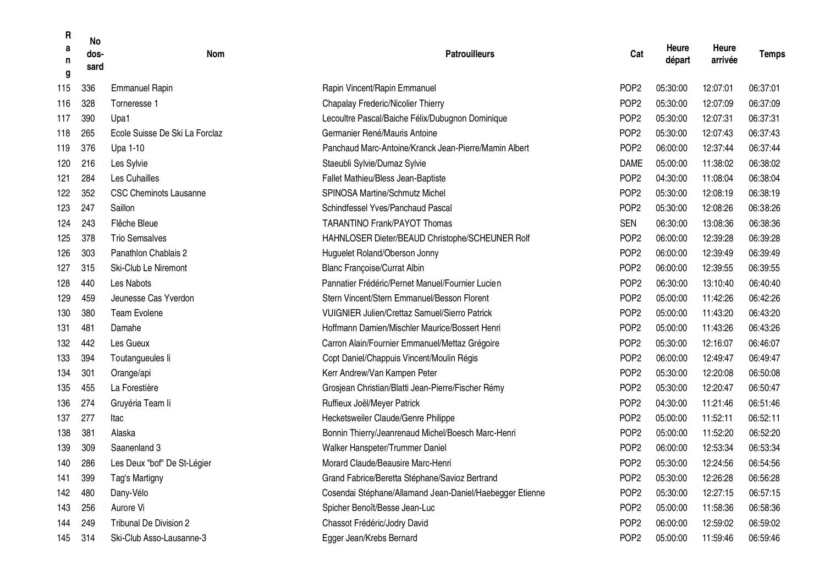| R<br>a<br>n<br>g | <b>No</b><br>dos-<br>sard | <b>Nom</b>                     | <b>Patrouilleurs</b>                                     | Cat              | Heure<br>départ | Heure<br>arrivée | <b>Temps</b> |
|------------------|---------------------------|--------------------------------|----------------------------------------------------------|------------------|-----------------|------------------|--------------|
| 115              | 336                       | <b>Emmanuel Rapin</b>          | Rapin Vincent/Rapin Emmanuel                             | POP <sub>2</sub> | 05:30:00        | 12:07:01         | 06:37:01     |
| 116              | 328                       | Torneresse 1                   | Chapalay Frederic/Nicolier Thierry                       | POP <sub>2</sub> | 05:30:00        | 12:07:09         | 06:37:09     |
| 117              | 390                       | Upa1                           | Lecoultre Pascal/Baiche Félix/Dubugnon Dominique         | POP <sub>2</sub> | 05:30:00        | 12:07:31         | 06:37:31     |
| 118              | 265                       | Ecole Suisse De Ski La Forclaz | Germanier René/Mauris Antoine                            | POP <sub>2</sub> | 05:30:00        | 12:07:43         | 06:37:43     |
| 119              | 376                       | Upa 1-10                       | Panchaud Marc-Antoine/Kranck Jean-Pierre/Mamin Albert    | POP <sub>2</sub> | 06:00:00        | 12:37:44         | 06:37:44     |
| 120              | 216                       | Les Sylvie                     | Staeubli Sylvie/Dumaz Sylvie                             | <b>DAME</b>      | 05:00:00        | 11:38:02         | 06:38:02     |
| 121              | 284                       | Les Cuhailles                  | Fallet Mathieu/Bless Jean-Baptiste                       | POP <sub>2</sub> | 04:30:00        | 11:08:04         | 06:38:04     |
| 122              | 352                       | <b>CSC Cheminots Lausanne</b>  | SPINOSA Martine/Schmutz Michel                           | POP <sub>2</sub> | 05:30:00        | 12:08:19         | 06:38:19     |
| 123              | 247                       | Saillon                        | Schindfessel Yves/Panchaud Pascal                        | POP <sub>2</sub> | 05:30:00        | 12:08:26         | 06:38:26     |
| 124              | 243                       | Flêche Bleue                   | <b>TARANTINO Frank/PAYOT Thomas</b>                      | <b>SEN</b>       | 06:30:00        | 13:08:36         | 06:38:36     |
| 125              | 378                       | <b>Trio Semsalves</b>          | HAHNLOSER Dieter/BEAUD Christophe/SCHEUNER Rolf          | POP <sub>2</sub> | 06:00:00        | 12:39:28         | 06:39:28     |
| 126              | 303                       | Panathlon Chablais 2           | Huguelet Roland/Oberson Jonny                            | POP <sub>2</sub> | 06:00:00        | 12:39:49         | 06:39:49     |
| 127              | 315                       | Ski-Club Le Niremont           | <b>Blanc Françoise/Currat Albin</b>                      | POP <sub>2</sub> | 06:00:00        | 12:39:55         | 06:39:55     |
| 128              | 440                       | Les Nabots                     | Pannatier Frédéric/Pernet Manuel/Fournier Lucien         | POP <sub>2</sub> | 06:30:00        | 13:10:40         | 06:40:40     |
| 129              | 459                       | Jeunesse Cas Yverdon           | Stern Vincent/Stern Emmanuel/Besson Florent              | POP <sub>2</sub> | 05:00:00        | 11:42:26         | 06:42:26     |
| 130              | 380                       | <b>Team Evolene</b>            | <b>VUIGNIER Julien/Crettaz Samuel/Sierro Patrick</b>     | POP <sub>2</sub> | 05:00:00        | 11:43:20         | 06:43:20     |
| 131              | 481                       | Damahe                         | Hoffmann Damien/Mischler Maurice/Bossert Henri           | POP <sub>2</sub> | 05:00:00        | 11:43:26         | 06:43:26     |
| 132              | 442                       | Les Gueux                      | Carron Alain/Fournier Emmanuel/Mettaz Grégoire           | POP <sub>2</sub> | 05:30:00        | 12:16:07         | 06:46:07     |
| 133              | 394                       | Toutangueules li               | Copt Daniel/Chappuis Vincent/Moulin Régis                | POP <sub>2</sub> | 06:00:00        | 12:49:47         | 06:49:47     |
| 134              | 301                       | Orange/api                     | Kerr Andrew/Van Kampen Peter                             | POP <sub>2</sub> | 05:30:00        | 12:20:08         | 06:50:08     |
| 135              | 455                       | La Forestière                  | Grosjean Christian/Blatti Jean-Pierre/Fischer Rémy       | POP <sub>2</sub> | 05:30:00        | 12:20:47         | 06:50:47     |
| 136              | 274                       | Gruyéria Team li               | Ruffieux Joël/Meyer Patrick                              | POP <sub>2</sub> | 04:30:00        | 11:21:46         | 06:51:46     |
| 137              | 277                       | Itac                           | Hecketsweiler Claude/Genre Philippe                      | POP <sub>2</sub> | 05:00:00        | 11:52:11         | 06:52:11     |
| 138              | 381                       | Alaska                         | Bonnin Thierry/Jeanrenaud Michel/Boesch Marc-Henri       | POP <sub>2</sub> | 05:00:00        | 11:52:20         | 06:52:20     |
| 139              | 309                       | Saanenland 3                   | Walker Hanspeter/Trummer Daniel                          | POP <sub>2</sub> | 06:00:00        | 12:53:34         | 06:53:34     |
| 140              | 286                       | Les Deux "bof" De St-Légier    | Morard Claude/Beausire Marc-Henri                        | POP <sub>2</sub> | 05:30:00        | 12:24:56         | 06:54:56     |
| 141              | 399                       | Tag's Martigny                 | Grand Fabrice/Beretta Stéphane/Savioz Bertrand           | POP <sub>2</sub> | 05:30:00        | 12:26:28         | 06:56:28     |
| 142              | 480                       | Dany-Vélo                      | Cosendai Stéphane/Allamand Jean-Daniel/Haebegger Etienne | POP <sub>2</sub> | 05:30:00        | 12:27:15         | 06:57:15     |
| 143              | 256                       | Aurore Vi                      | Spicher Benoît/Besse Jean-Luc                            | POP <sub>2</sub> | 05:00:00        | 11:58:36         | 06:58:36     |
| 144              | 249                       | Tribunal De Division 2         | Chassot Frédéric/Jodry David                             | POP <sub>2</sub> | 06:00:00        | 12:59:02         | 06:59:02     |
| 145              | 314                       | Ski-Club Asso-Lausanne-3       | Egger Jean/Krebs Bernard                                 | POP <sub>2</sub> | 05:00:00        | 11:59:46         | 06:59:46     |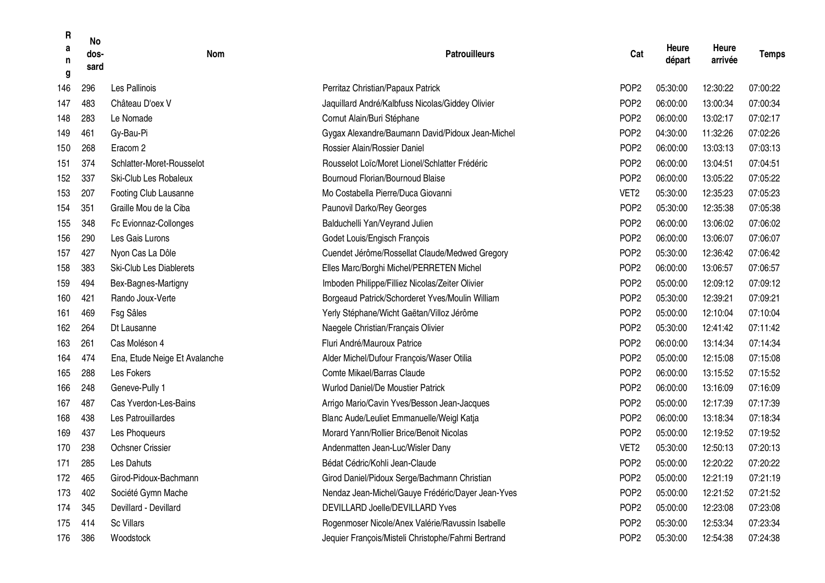| R<br>a<br>n<br>g | <b>No</b><br>dos-<br>sard | Nom                            | <b>Patrouilleurs</b>                                | Cat              | Heure<br>départ | Heure<br>arrivée | <b>Temps</b> |
|------------------|---------------------------|--------------------------------|-----------------------------------------------------|------------------|-----------------|------------------|--------------|
| 146              | 296                       | Les Pallinois                  | Perritaz Christian/Papaux Patrick                   | POP <sub>2</sub> | 05:30:00        | 12:30:22         | 07:00:22     |
| 147              | 483                       | Château D'oex V                | Jaquillard André/Kalbfuss Nicolas/Giddey Olivier    | POP <sub>2</sub> | 06:00:00        | 13:00:34         | 07:00:34     |
| 148              | 283                       | Le Nomade                      | Cornut Alain/Buri Stéphane                          | POP <sub>2</sub> | 06:00:00        | 13:02:17         | 07:02:17     |
| 149              | 461                       | Gy-Bau-Pi                      | Gygax Alexandre/Baumann David/Pidoux Jean-Michel    | POP <sub>2</sub> | 04:30:00        | 11:32:26         | 07:02:26     |
| 150              | 268                       | Eracom <sub>2</sub>            | Rossier Alain/Rossier Daniel                        | POP <sub>2</sub> | 06:00:00        | 13:03:13         | 07:03:13     |
| 151              | 374                       | Schlatter-Moret-Rousselot      | Rousselot Loïc/Moret Lionel/Schlatter Frédéric      | POP <sub>2</sub> | 06:00:00        | 13:04:51         | 07:04:51     |
| 152              | 337                       | Ski-Club Les Robaleux          | Bournoud Florian/Bournoud Blaise                    | POP <sub>2</sub> | 06:00:00        | 13:05:22         | 07:05:22     |
| 153              | 207                       | Footing Club Lausanne          | Mo Costabella Pierre/Duca Giovanni                  | VET <sub>2</sub> | 05:30:00        | 12:35:23         | 07:05:23     |
| 154              | 351                       | Graille Mou de la Ciba         | Paunovil Darko/Rey Georges                          | POP <sub>2</sub> | 05:30:00        | 12:35:38         | 07:05:38     |
| 155              | 348                       | Fc Evionnaz-Collonges          | Balduchelli Yan/Veyrand Julien                      | POP <sub>2</sub> | 06:00:00        | 13:06:02         | 07:06:02     |
| 156              | 290                       | Les Gais Lurons                | Godet Louis/Engisch François                        | POP <sub>2</sub> | 06:00:00        | 13:06:07         | 07:06:07     |
| 157              | 427                       | Nyon Cas La Dôle               | Cuendet Jérôme/Rossellat Claude/Medwed Gregory      | POP <sub>2</sub> | 05:30:00        | 12:36:42         | 07:06:42     |
| 158              | 383                       | <b>Ski-Club Les Diablerets</b> | Elles Marc/Borghi Michel/PERRETEN Michel            | POP <sub>2</sub> | 06:00:00        | 13:06:57         | 07:06:57     |
| 159              | 494                       | Bex-Bagnes-Martigny            | Imboden Philippe/Filliez Nicolas/Zeiter Olivier     | POP <sub>2</sub> | 05:00:00        | 12:09:12         | 07:09:12     |
| 160              | 421                       | Rando Joux-Verte               | Borgeaud Patrick/Schorderet Yves/Moulin William     | POP <sub>2</sub> | 05:30:00        | 12:39:21         | 07:09:21     |
| 161              | 469                       | Fsg Sâles                      | Yerly Stéphane/Wicht Gaëtan/Villoz Jérôme           | POP <sub>2</sub> | 05:00:00        | 12:10:04         | 07:10:04     |
| 162              | 264                       | Dt Lausanne                    | Naegele Christian/Français Olivier                  | POP <sub>2</sub> | 05:30:00        | 12:41:42         | 07:11:42     |
| 163              | 261                       | Cas Moléson 4                  | Fluri André/Mauroux Patrice                         | POP <sub>2</sub> | 06:00:00        | 13:14:34         | 07:14:34     |
| 164              | 474                       | Ena, Etude Neige Et Avalanche  | Alder Michel/Dufour François/Waser Otilia           | POP <sub>2</sub> | 05:00:00        | 12:15:08         | 07:15:08     |
| 165              | 288                       | Les Fokers                     | Comte Mikael/Barras Claude                          | POP <sub>2</sub> | 06:00:00        | 13:15:52         | 07:15:52     |
| 166              | 248                       | Geneve-Pully 1                 | Wurlod Daniel/De Moustier Patrick                   | POP <sub>2</sub> | 06:00:00        | 13:16:09         | 07:16:09     |
| 167              | 487                       | Cas Yverdon-Les-Bains          | Arrigo Mario/Cavin Yves/Besson Jean-Jacques         | POP <sub>2</sub> | 05:00:00        | 12:17:39         | 07:17:39     |
| 168              | 438                       | Les Patrouillardes             | Blanc Aude/Leuliet Emmanuelle/Weigl Katja           | POP <sub>2</sub> | 06:00:00        | 13:18:34         | 07:18:34     |
| 169              | 437                       | Les Phoqueurs                  | Morard Yann/Rollier Brice/Benoit Nicolas            | POP <sub>2</sub> | 05:00:00        | 12:19:52         | 07:19:52     |
| 170              | 238                       | <b>Ochsner Crissier</b>        | Andenmatten Jean-Luc/Wisler Dany                    | VET <sub>2</sub> | 05:30:00        | 12:50:13         | 07:20:13     |
| 171              | 285                       | Les Dahuts                     | Bédat Cédric/Kohli Jean-Claude                      | POP <sub>2</sub> | 05:00:00        | 12:20:22         | 07:20:22     |
| 172              | 465                       | Girod-Pidoux-Bachmann          | Girod Daniel/Pidoux Serge/Bachmann Christian        | POP <sub>2</sub> | 05:00:00        | 12:21:19         | 07:21:19     |
| 173              | 402                       | Société Gymn Mache             | Nendaz Jean-Michel/Gauye Frédéric/Dayer Jean-Yves   | POP <sub>2</sub> | 05:00:00        | 12:21:52         | 07:21:52     |
| 174              | 345                       | Devillard - Devillard          | DEVILLARD Joelle/DEVILLARD Yves                     | POP <sub>2</sub> | 05:00:00        | 12:23:08         | 07:23:08     |
| 175              | 414                       | <b>Sc Villars</b>              | Rogenmoser Nicole/Anex Valérie/Ravussin Isabelle    | POP <sub>2</sub> | 05:30:00        | 12:53:34         | 07:23:34     |
| 176              | 386                       | Woodstock                      | Jequier François/Misteli Christophe/Fahrni Bertrand | POP <sub>2</sub> | 05:30:00        | 12:54:38         | 07:24:38     |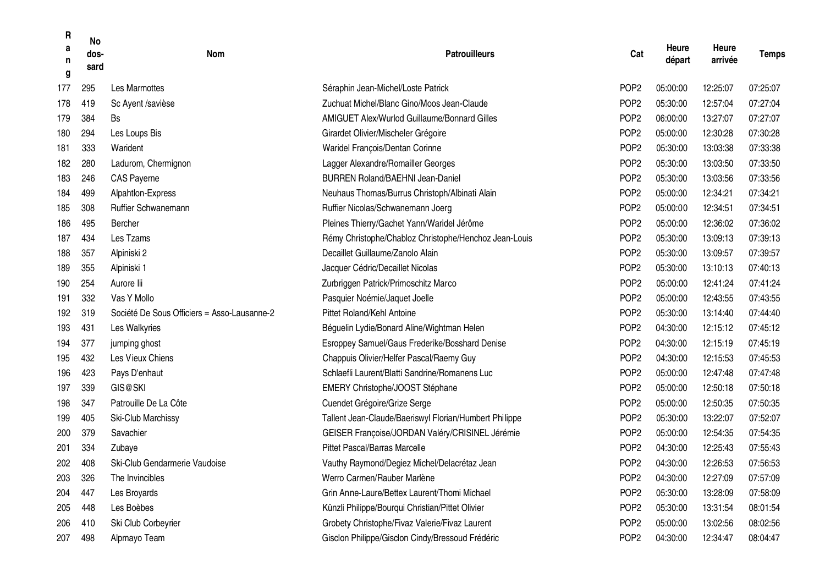| R<br>a<br>n<br>g | <b>No</b><br>dos-<br>sard | <b>Nom</b>                                  | <b>Patrouilleurs</b>                                   | Cat              | Heure<br>départ | Heure<br>arrivée | <b>Temps</b> |
|------------------|---------------------------|---------------------------------------------|--------------------------------------------------------|------------------|-----------------|------------------|--------------|
| 177              | 295                       | Les Marmottes                               | Séraphin Jean-Michel/Loste Patrick                     | POP <sub>2</sub> | 05:00:00        | 12:25:07         | 07:25:07     |
| 178              | 419                       | Sc Ayent /savièse                           | Zuchuat Michel/Blanc Gino/Moos Jean-Claude             | POP <sub>2</sub> | 05:30:00        | 12:57:04         | 07:27:04     |
| 179              | 384                       | Bs                                          | <b>AMIGUET Alex/Wurlod Guillaume/Bonnard Gilles</b>    | POP <sub>2</sub> | 06:00:00        | 13:27:07         | 07:27:07     |
| 180              | 294                       | Les Loups Bis                               | Girardet Olivier/Mischeler Grégoire                    | POP <sub>2</sub> | 05:00:00        | 12:30:28         | 07:30:28     |
| 181              | 333                       | Warident                                    | Waridel François/Dentan Corinne                        | POP <sub>2</sub> | 05:30:00        | 13:03:38         | 07:33:38     |
| 182              | 280                       | Ladurom, Chermignon                         | Lagger Alexandre/Romailler Georges                     | POP <sub>2</sub> | 05:30:00        | 13:03:50         | 07:33:50     |
| 183              | 246                       | <b>CAS Payerne</b>                          | <b>BURREN Roland/BAEHNI Jean-Daniel</b>                | POP <sub>2</sub> | 05:30:00        | 13:03:56         | 07:33:56     |
| 184              | 499                       | Alpahtlon-Express                           | Neuhaus Thomas/Burrus Christoph/Albinati Alain         | POP <sub>2</sub> | 05:00:00        | 12:34:21         | 07:34:21     |
| 185              | 308                       | Ruffier Schwanemann                         | Ruffier Nicolas/Schwanemann Joerg                      | POP <sub>2</sub> | 05:00:00        | 12:34:51         | 07:34:51     |
| 186              | 495                       | Bercher                                     | Pleines Thierry/Gachet Yann/Waridel Jérôme             | POP <sub>2</sub> | 05:00:00        | 12:36:02         | 07:36:02     |
| 187              | 434                       | Les Tzams                                   | Rémy Christophe/Chabloz Christophe/Henchoz Jean-Louis  | POP <sub>2</sub> | 05:30:00        | 13:09:13         | 07:39:13     |
| 188              | 357                       | Alpiniski 2                                 | Decaillet Guillaume/Zanolo Alain                       | POP <sub>2</sub> | 05:30:00        | 13:09:57         | 07:39:57     |
| 189              | 355                       | Alpiniski 1                                 | Jacquer Cédric/Decaillet Nicolas                       | POP <sub>2</sub> | 05:30:00        | 13:10:13         | 07:40:13     |
| 190              | 254                       | Aurore lii                                  | Zurbriggen Patrick/Primoschitz Marco                   | POP <sub>2</sub> | 05:00:00        | 12:41:24         | 07:41:24     |
| 191              | 332                       | Vas Y Mollo                                 | Pasquier Noémie/Jaquet Joelle                          | POP <sub>2</sub> | 05:00:00        | 12:43:55         | 07:43:55     |
| 192              | 319                       | Société De Sous Officiers = Asso-Lausanne-2 | Pittet Roland/Kehl Antoine                             | POP <sub>2</sub> | 05:30:00        | 13:14:40         | 07:44:40     |
| 193              | 431                       | Les Walkyries                               | Béguelin Lydie/Bonard Aline/Wightman Helen             | POP <sub>2</sub> | 04:30:00        | 12:15:12         | 07:45:12     |
| 194              | 377                       | jumping ghost                               | Esroppey Samuel/Gaus Frederike/Bosshard Denise         | POP <sub>2</sub> | 04:30:00        | 12:15:19         | 07:45:19     |
| 195              | 432                       | Les Vieux Chiens                            | Chappuis Olivier/Helfer Pascal/Raemy Guy               | POP <sub>2</sub> | 04:30:00        | 12:15:53         | 07:45:53     |
| 196              | 423                       | Pays D'enhaut                               | Schlaefli Laurent/Blatti Sandrine/Romanens Luc         | POP <sub>2</sub> | 05:00:00        | 12:47:48         | 07:47:48     |
| 197              | 339                       | GIS@SKI                                     | EMERY Christophe/JOOST Stéphane                        | POP <sub>2</sub> | 05:00:00        | 12:50:18         | 07:50:18     |
| 198              | 347                       | Patrouille De La Côte                       | Cuendet Grégoire/Grize Serge                           | POP <sub>2</sub> | 05:00:00        | 12:50:35         | 07:50:35     |
| 199              | 405                       | Ski-Club Marchissy                          | Tallent Jean-Claude/Baeriswyl Florian/Humbert Philippe | POP <sub>2</sub> | 05:30:00        | 13:22:07         | 07:52:07     |
| 200              | 379                       | Savachier                                   | GEISER Françoise/JORDAN Valéry/CRISINEL Jérémie        | POP <sub>2</sub> | 05:00:00        | 12:54:35         | 07:54:35     |
| 201              | 334                       | Zubaye                                      | <b>Pittet Pascal/Barras Marcelle</b>                   | POP <sub>2</sub> | 04:30:00        | 12:25:43         | 07:55:43     |
| 202              | 408                       | Ski-Club Gendarmerie Vaudoise               | Vauthy Raymond/Degiez Michel/Delacrétaz Jean           | POP <sub>2</sub> | 04:30:00        | 12:26:53         | 07:56:53     |
| 203              | 326                       | The Invincibles                             | Werro Carmen/Rauber Marlène                            | POP <sub>2</sub> | 04:30:00        | 12:27:09         | 07:57:09     |
| 204              | 447                       | Les Broyards                                | Grin Anne-Laure/Bettex Laurent/Thomi Michael           | POP <sub>2</sub> | 05:30:00        | 13:28:09         | 07:58:09     |
| 205              | 448                       | Les Boèbes                                  | Künzli Philippe/Bourqui Christian/Pittet Olivier       | POP <sub>2</sub> | 05:30:00        | 13:31:54         | 08:01:54     |
| 206              | 410                       | Ski Club Corbeyrier                         | Grobety Christophe/Fivaz Valerie/Fivaz Laurent         | POP <sub>2</sub> | 05:00:00        | 13:02:56         | 08:02:56     |
| 207              | 498                       | Alpmayo Team                                | Gisclon Philippe/Gisclon Cindy/Bressoud Frédéric       | POP <sub>2</sub> | 04:30:00        | 12:34:47         | 08:04:47     |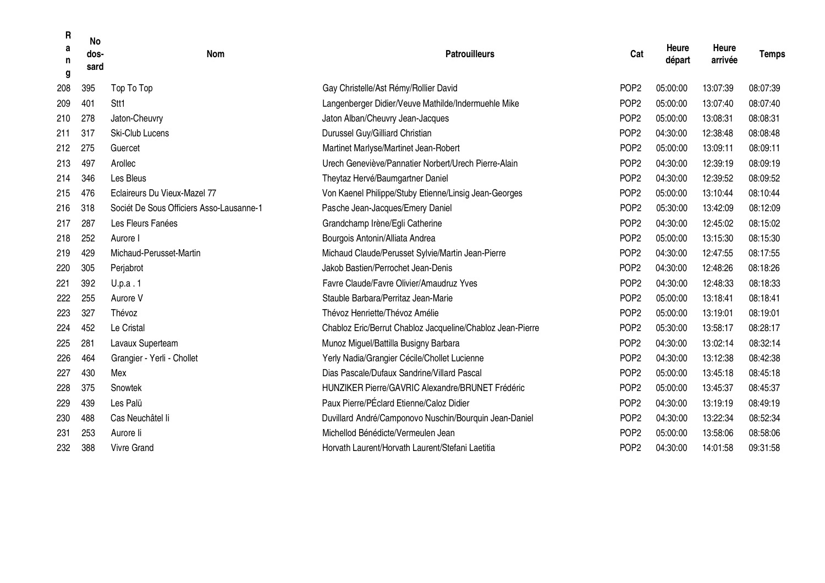| R<br>a<br>n<br>g | <b>No</b><br>dos-<br>sard | <b>Nom</b>                               | <b>Patrouilleurs</b>                                       | Cat              | Heure<br>départ | <b>Heure</b><br>arrivée | <b>Temps</b> |
|------------------|---------------------------|------------------------------------------|------------------------------------------------------------|------------------|-----------------|-------------------------|--------------|
| 208              | 395                       | Top To Top                               | Gay Christelle/Ast Rémy/Rollier David                      | POP <sub>2</sub> | 05:00:00        | 13:07:39                | 08:07:39     |
| 209              | 401                       | Stt1                                     | Langenberger Didier/Veuve Mathilde/Indermuehle Mike        | POP <sub>2</sub> | 05:00:00        | 13:07:40                | 08:07:40     |
| 210              | 278                       | Jaton-Cheuvry                            | Jaton Alban/Cheuvry Jean-Jacques                           | POP <sub>2</sub> | 05:00:00        | 13:08:31                | 08:08:31     |
| 211              | 317                       | <b>Ski-Club Lucens</b>                   | Durussel Guy/Gilliard Christian                            | POP <sub>2</sub> | 04:30:00        | 12:38:48                | 08:08:48     |
| 212              | 275                       | Guercet                                  | Martinet Marlyse/Martinet Jean-Robert                      | POP <sub>2</sub> | 05:00:00        | 13:09:11                | 08:09:11     |
| 213              | 497                       | Arollec                                  | Urech Geneviève/Pannatier Norbert/Urech Pierre-Alain       | POP <sub>2</sub> | 04:30:00        | 12:39:19                | 08:09:19     |
| 214              | 346                       | Les Bleus                                | Theytaz Hervé/Baumgartner Daniel                           | POP <sub>2</sub> | 04:30:00        | 12:39:52                | 08:09:52     |
| 215              | 476                       | Eclaireurs Du Vieux-Mazel 77             | Von Kaenel Philippe/Stuby Etienne/Linsig Jean-Georges      | POP <sub>2</sub> | 05:00:00        | 13:10:44                | 08:10:44     |
| 216              | 318                       | Sociét De Sous Officiers Asso-Lausanne-1 | Pasche Jean-Jacques/Emery Daniel                           | POP <sub>2</sub> | 05:30:00        | 13:42:09                | 08:12:09     |
| 217              | 287                       | Les Fleurs Fanées                        | Grandchamp Irène/Egli Catherine                            | POP <sub>2</sub> | 04:30:00        | 12:45:02                | 08:15:02     |
| 218              | 252                       | Aurore I                                 | Bourgois Antonin/Alliata Andrea                            | POP <sub>2</sub> | 05:00:00        | 13:15:30                | 08:15:30     |
| 219              | 429                       | Michaud-Perusset-Martin                  | Michaud Claude/Perusset Sylvie/Martin Jean-Pierre          | POP <sub>2</sub> | 04:30:00        | 12:47:55                | 08:17:55     |
| 220              | 305                       | Perjabrot                                | Jakob Bastien/Perrochet Jean-Denis                         | POP <sub>2</sub> | 04:30:00        | 12:48:26                | 08:18:26     |
| 221              | 392                       | U.p.a.1                                  | Favre Claude/Favre Olivier/Amaudruz Yves                   | POP <sub>2</sub> | 04:30:00        | 12:48:33                | 08:18:33     |
| 222              | 255                       | Aurore V                                 | Stauble Barbara/Perritaz Jean-Marie                        | POP <sub>2</sub> | 05:00:00        | 13:18:41                | 08:18:41     |
| 223              | 327                       | Thévoz                                   | Thévoz Henriette/Thévoz Amélie                             | POP <sub>2</sub> | 05:00:00        | 13:19:01                | 08:19:01     |
| 224              | 452                       | Le Cristal                               | Chabloz Eric/Berrut Chabloz Jacqueline/Chabloz Jean-Pierre | POP <sub>2</sub> | 05:30:00        | 13:58:17                | 08:28:17     |
| 225              | 281                       | Lavaux Superteam                         | Munoz Miguel/Battilla Busigny Barbara                      | POP <sub>2</sub> | 04:30:00        | 13:02:14                | 08:32:14     |
| 226              | 464                       | Grangier - Yerli - Chollet               | Yerly Nadia/Grangier Cécile/Chollet Lucienne               | POP <sub>2</sub> | 04:30:00        | 13:12:38                | 08:42:38     |
| 227              | 430                       | Mex                                      | Dias Pascale/Dufaux Sandrine/Villard Pascal                | POP <sub>2</sub> | 05:00:00        | 13:45:18                | 08:45:18     |
| 228              | 375                       | Snowtek                                  | <b>HUNZIKER Pierre/GAVRIC Alexandre/BRUNET Frédéric</b>    | POP <sub>2</sub> | 05:00:00        | 13:45:37                | 08:45:37     |
| 229              | 439                       | Les Palü                                 | Paux Pierre/PÉclard Etienne/Caloz Didier                   | POP <sub>2</sub> | 04:30:00        | 13:19:19                | 08:49:19     |
| 230              | 488                       | Cas Neuchâtel li                         | Duvillard André/Camponovo Nuschin/Bourquin Jean-Daniel     | POP <sub>2</sub> | 04:30:00        | 13:22:34                | 08:52:34     |
| 231              | 253                       | Aurore li                                | Michellod Bénédicte/Vermeulen Jean                         | POP <sub>2</sub> | 05:00:00        | 13:58:06                | 08:58:06     |
| 232              | 388                       | Vivre Grand                              | Horvath Laurent/Horvath Laurent/Stefani Laetitia           | POP <sub>2</sub> | 04:30:00        | 14:01:58                | 09:31:58     |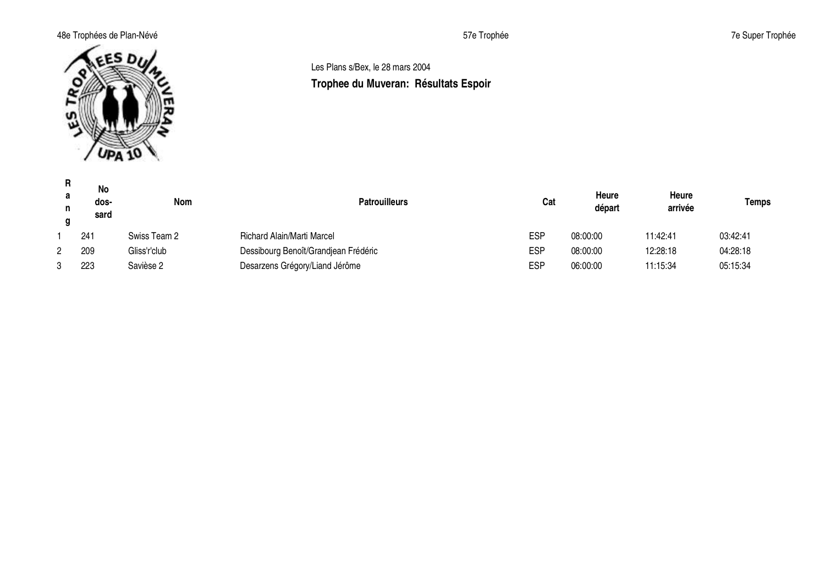## 48e Trophées de Plan-Névé **1986** Trophée 57e Trophée 57e Trophée 57e Trophée 57e Super Trophée



## Les Plans s/Bex, le 28 mars 2004 **Trophee du Muveran: Résultats Espoir**

| R.<br>a<br>n<br>α | <b>No</b><br>dos-<br>sard | Nom          | <b>Patrouilleurs</b>                 | Cat        | Heure<br>départ | Heure<br>arrivée | Temps    |
|-------------------|---------------------------|--------------|--------------------------------------|------------|-----------------|------------------|----------|
|                   | 241                       | Swiss Team 2 | <b>Richard Alain/Marti Marcel</b>    | <b>ESP</b> | 08:00:00        | 11:42:41         | 03:42:41 |
|                   | 209                       | Gliss'r'club | Dessibourg Benoît/Grandjean Frédéric | <b>ESP</b> | 08:00:00        | 12:28:18         | 04:28:18 |
|                   | 223                       | Savièse 2    | Desarzens Grégory/Liand Jérôme       | <b>ESP</b> | 06:00:00        | 11:15:34         | 05:15:34 |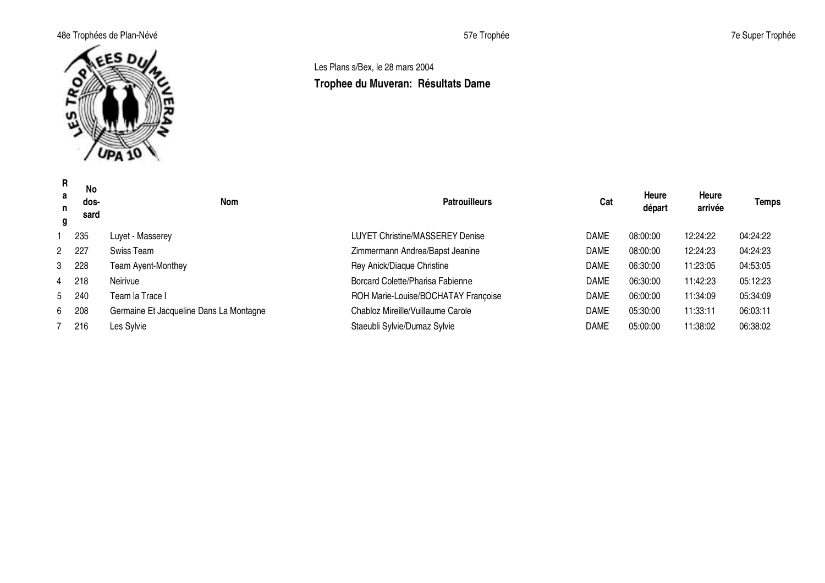## 48e Trophées de Plan-Névé **1986** Trophée 57e Trophée 57e Trophée 57e Trophée 7e Super Trophée



## Les Plans s/Bex, le 28 mars 2004 **Trophee du Muveran: Résultats Dame**

| R<br>a<br>n<br>g | No<br>dos-<br>sard | <b>Nom</b>                              | <b>Patrouilleurs</b>                | Cat         | Heure<br>départ | Heure<br>arrivée | <b>Temps</b> |
|------------------|--------------------|-----------------------------------------|-------------------------------------|-------------|-----------------|------------------|--------------|
|                  | 235                | Luyet - Masserey                        | LUYET Christine/MASSEREY Denise     | DAME        | 08:00:00        | 12:24:22         | 04:24:22     |
|                  | 2 227              | Swiss Team                              | Zimmermann Andrea/Bapst Jeanine     | <b>DAME</b> | 08:00:00        | 12:24:23         | 04:24:23     |
|                  | 3 228              | Team Ayent-Monthey                      | Rey Anick/Diaque Christine          | <b>DAME</b> | 06:30:00        | 11:23:05         | 04:53:05     |
|                  | 4 218              | Neirivue                                | Borcard Colette/Pharisa Fabienne    | <b>DAME</b> | 06:30:00        | 11:42:23         | 05:12:23     |
|                  | 5 240              | Team la Trace I                         | ROH Marie-Louise/BOCHATAY Françoise | <b>DAME</b> | 06:00:00        | 11:34:09         | 05:34:09     |
|                  | 6 208              | Germaine Et Jacqueline Dans La Montagne | Chabloz Mireille/Vuillaume Carole   | <b>DAME</b> | 05:30:00        | 11:33:11         | 06:03:11     |
|                  | 7 216              | Les Sylvie                              | Staeubli Sylvie/Dumaz Sylvie        | <b>DAME</b> | 05:00:00        | 11:38:02         | 06:38:02     |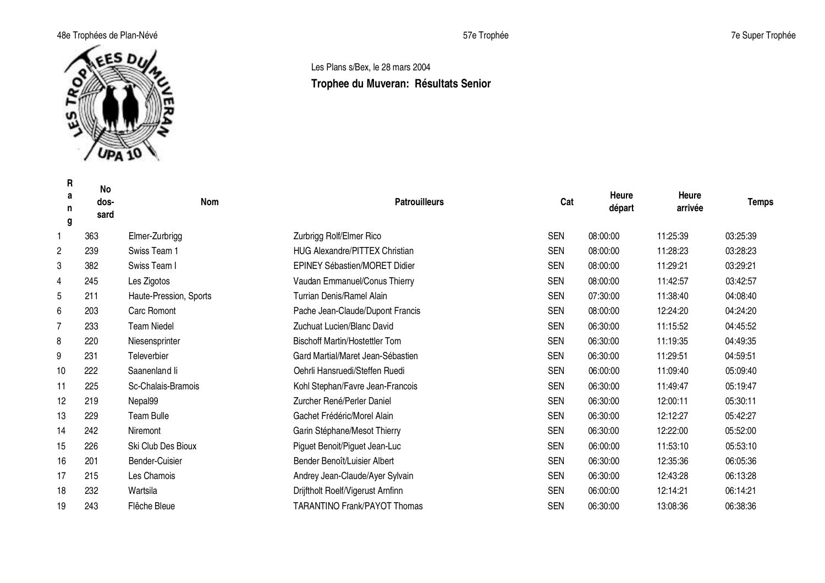## 48e Trophées de Plan-Névé **1986** Trophée 57e Trophée 57e Trophée 57e Trophée 57e Super Trophée



## Les Plans s/Bex, le 28 mars 2004 **Trophee du Muveran: Résultats Senior**

| R<br>a<br>n<br>g | No<br>dos-<br>sard | <b>Nom</b>             | <b>Patrouilleurs</b>                  | Cat        | Heure<br>départ | Heure<br>arrivée | <b>Temps</b> |
|------------------|--------------------|------------------------|---------------------------------------|------------|-----------------|------------------|--------------|
| 1                | 363                | Elmer-Zurbrigg         | Zurbrigg Rolf/Elmer Rico              | <b>SEN</b> | 08:00:00        | 11:25:39         | 03:25:39     |
| 2                | 239                | Swiss Team 1           | <b>HUG Alexandre/PITTEX Christian</b> | <b>SEN</b> | 08:00:00        | 11:28:23         | 03:28:23     |
| 3                | 382                | Swiss Team I           | <b>EPINEY Sébastien/MORET Didier</b>  | <b>SEN</b> | 08:00:00        | 11:29:21         | 03:29:21     |
| 4                | 245                | Les Zigotos            | Vaudan Emmanuel/Conus Thierry         | <b>SEN</b> | 08:00:00        | 11:42:57         | 03:42:57     |
| 5                | 211                | Haute-Pression, Sports | Turrian Denis/Ramel Alain             | <b>SEN</b> | 07:30:00        | 11:38:40         | 04:08:40     |
| 6                | 203                | <b>Carc Romont</b>     | Pache Jean-Claude/Dupont Francis      | <b>SEN</b> | 08:00:00        | 12:24:20         | 04:24:20     |
| 7                | 233                | <b>Team Niedel</b>     | Zuchuat Lucien/Blanc David            | <b>SEN</b> | 06:30:00        | 11:15:52         | 04:45:52     |
| 8                | 220                | Niesensprinter         | <b>Bischoff Martin/Hostettler Tom</b> | <b>SEN</b> | 06:30:00        | 11:19:35         | 04:49:35     |
| 9                | 231                | Televerbier            | Gard Martial/Maret Jean-Sébastien     | <b>SEN</b> | 06:30:00        | 11:29:51         | 04:59:51     |
| 10               | 222                | Saanenland li          | Oehrli Hansruedi/Steffen Ruedi        | <b>SEN</b> | 06:00:00        | 11:09:40         | 05:09:40     |
| 11               | 225                | Sc-Chalais-Bramois     | Kohl Stephan/Favre Jean-Francois      | <b>SEN</b> | 06:30:00        | 11:49:47         | 05:19:47     |
| 12               | 219                | Nepal99                | Zurcher René/Perler Daniel            | <b>SEN</b> | 06:30:00        | 12:00:11         | 05:30:11     |
| 13               | 229                | Team Bulle             | Gachet Frédéric/Morel Alain           | <b>SEN</b> | 06:30:00        | 12:12:27         | 05:42:27     |
| 14               | 242                | Niremont               | Garin Stéphane/Mesot Thierry          | <b>SEN</b> | 06:30:00        | 12:22:00         | 05:52:00     |
| 15               | 226                | Ski Club Des Bioux     | Piguet Benoit/Piguet Jean-Luc         | <b>SEN</b> | 06:00:00        | 11:53:10         | 05:53:10     |
| 16               | 201                | Bender-Cuisier         | Bender Benoît/Luisier Albert          | <b>SEN</b> | 06:30:00        | 12:35:36         | 06:05:36     |
| 17               | 215                | Les Chamois            | Andrey Jean-Claude/Ayer Sylvain       | <b>SEN</b> | 06:30:00        | 12:43:28         | 06:13:28     |
| 18               | 232                | Wartsila               | Drijftholt Roelf/Vigerust Arnfinn     | <b>SEN</b> | 06:00:00        | 12:14:21         | 06:14:21     |
| 19               | 243                | Flêche Bleue           | <b>TARANTINO Frank/PAYOT Thomas</b>   | <b>SEN</b> | 06:30:00        | 13:08:36         | 06:38:36     |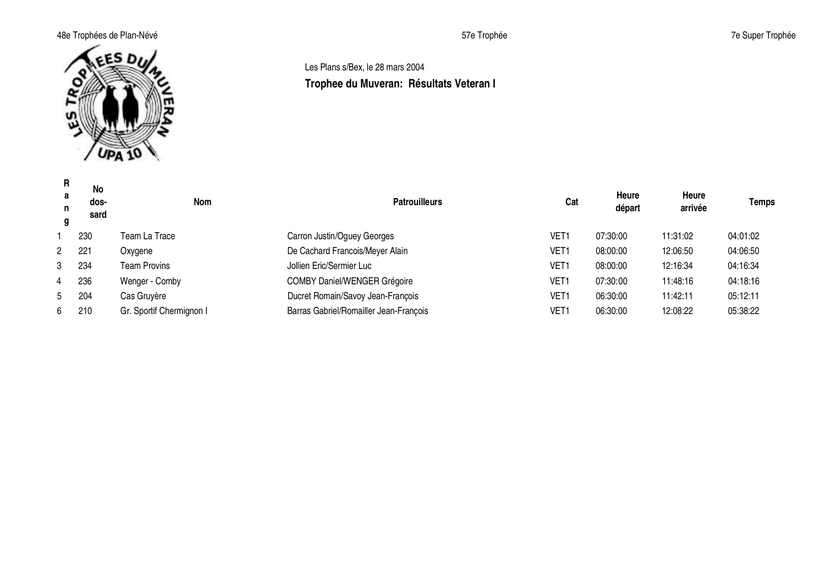## 48e Trophées de Plan-Névé **1986 au 1997 de Super Trophée** 57e Trophée 57e Trophée 7e Super Trophée



## Les Plans s/Bex, le 28 mars 2004 **Trophee du Muveran: Résultats Veteran I**

| R.<br>a<br>n<br>g | <b>No</b><br>dos-<br>sard | Nom                      | <b>Patrouilleurs</b>                   | Cat              | Heure<br>départ | Heure<br>arrivée | <b>Temps</b> |
|-------------------|---------------------------|--------------------------|----------------------------------------|------------------|-----------------|------------------|--------------|
|                   | 230                       | Team La Trace            | Carron Justin/Oguey Georges            | VET <sub>1</sub> | 07:30:00        | 11:31:02         | 04:01:02     |
| $2^{\circ}$       | 221                       | Oxygene                  | De Cachard Francois/Meyer Alain        | VET <sub>1</sub> | 08:00:00        | 12:06:50         | 04:06:50     |
| 3                 | 234                       | <b>Team Provins</b>      | Jollien Eric/Sermier Luc               | VET <sub>1</sub> | 08:00:00        | 12:16:34         | 04:16:34     |
| 4                 | 236                       | Wenger - Comby           | <b>COMBY Daniel/WENGER Grégoire</b>    | VET1             | 07:30:00        | 11:48:16         | 04:18:16     |
| 5 <sup>5</sup>    | 204                       | Cas Gruyère              | Ducret Romain/Savoy Jean-François      | VET1             | 06:30:00        | 11:42:11         | 05:12:11     |
| 6.                | 210                       | Gr. Sportif Chermignon I | Barras Gabriel/Romailler Jean-François | VET <sub>1</sub> | 06:30:00        | 12:08:22         | 05:38:22     |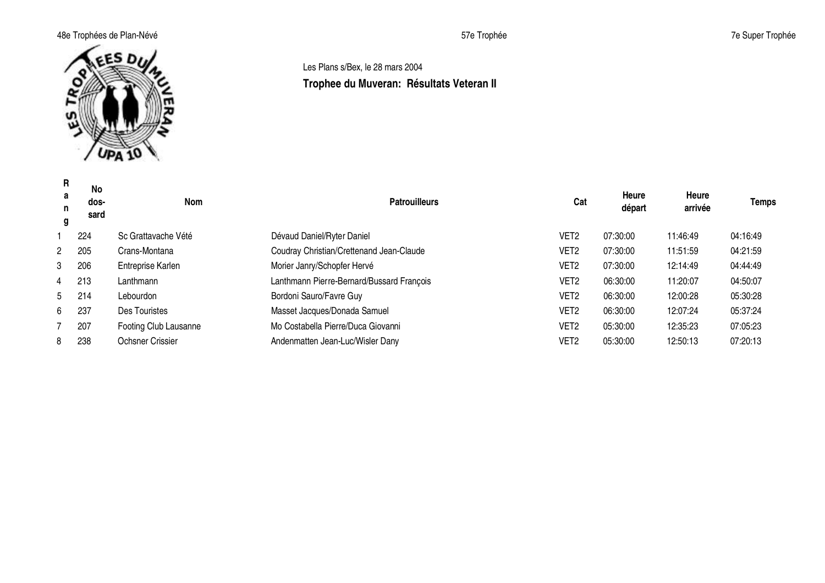## 48e Trophées de Plan-Névé **1986 au 1997 de Super Trophée** 57e Trophée 57e Trophée 7e Super Trophée



## Les Plans s/Bex, le 28 mars 2004 **Trophee du Muveran: Résultats Veteran II**

| R<br>a<br>n<br>g | No<br>dos-<br>sard | Nom                   | <b>Patrouilleurs</b>                      | Cat              | <b>Heure</b><br>départ | Heure<br>arrivée | <b>Temps</b> |
|------------------|--------------------|-----------------------|-------------------------------------------|------------------|------------------------|------------------|--------------|
|                  | 224                | Sc Grattavache Vété   | Dévaud Daniel/Ryter Daniel                | VET <sub>2</sub> | 07:30:00               | 11:46:49         | 04:16:49     |
| $\mathbf{2}$     | 205                | Crans-Montana         | Coudray Christian/Crettenand Jean-Claude  | VET2             | 07:30:00               | 11:51:59         | 04:21:59     |
| 3                | 206                | Entreprise Karlen     | Morier Janry/Schopfer Hervé               | VET <sub>2</sub> | 07:30:00               | 12:14:49         | 04:44:49     |
| 4                | 213                | Lanthmann             | Lanthmann Pierre-Bernard/Bussard François | VET <sub>2</sub> | 06:30:00               | 11:20:07         | 04:50:07     |
|                  | 5 214              | Lebourdon             | Bordoni Sauro/Favre Guy                   | VET2             | 06:30:00               | 12:00:28         | 05:30:28     |
| 6                | 237                | Des Touristes         | Masset Jacques/Donada Samuel              | VET2             | 06:30:00               | 12:07:24         | 05:37:24     |
|                  | 207                | Footing Club Lausanne | Mo Costabella Pierre/Duca Giovanni        | VET <sub>2</sub> | 05:30:00               | 12:35:23         | 07:05:23     |
| 8                | 238                | Ochsner Crissier      | Andenmatten Jean-Luc/Wisler Dany          | VET2             | 05:30:00               | 12:50:13         | 07:20:13     |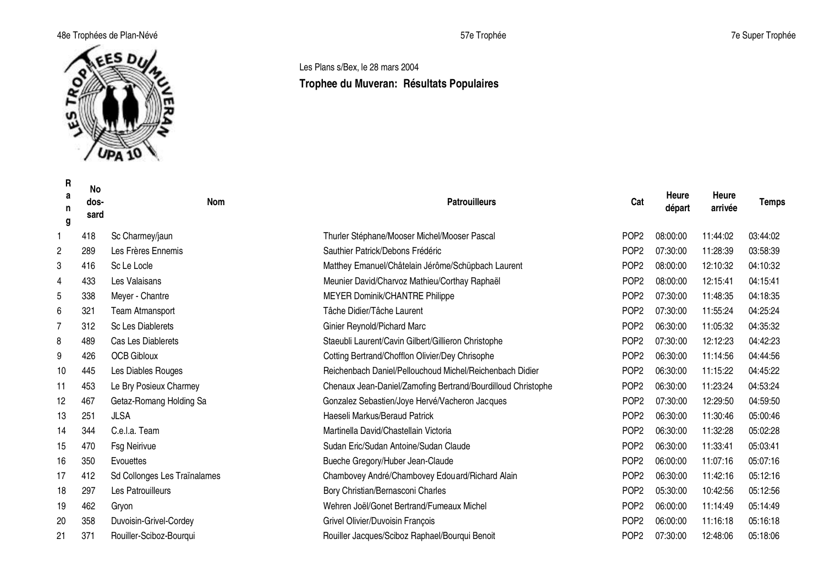## 48e Trophées de Plan-Névé **1986 au 1997 de Super Trophée** 57e Trophée 57e Trophée 7e Super Trophée



**R**

Les Plans s/Bex, le 28 mars 2004

# **Trophee du Muveran: Résultats Populaires**

| ĸ<br>a<br>n<br>g | No<br>dos-<br>sard | Nom                          | <b>Patrouilleurs</b>                                         | Cat              | Heure<br>départ | Heure<br>arrivée | Temps    |
|------------------|--------------------|------------------------------|--------------------------------------------------------------|------------------|-----------------|------------------|----------|
| 1                | 418                | Sc Charmey/jaun              | Thurler Stéphane/Mooser Michel/Mooser Pascal                 | POP <sub>2</sub> | 08:00:00        | 11:44:02         | 03:44:02 |
| $\mathbf{2}$     | 289                | Les Frères Ennemis           | Sauthier Patrick/Debons Frédéric                             | POP <sub>2</sub> | 07:30:00        | 11:28:39         | 03:58:39 |
| 3                | 416                | Sc Le Locle                  | Matthey Emanuel/Châtelain Jérôme/Schüpbach Laurent           | POP <sub>2</sub> | 08:00:00        | 12:10:32         | 04:10:32 |
| 4                | 433                | Les Valaisans                | Meunier David/Charvoz Mathieu/Corthay Raphaël                | POP <sub>2</sub> | 08:00:00        | 12:15:41         | 04:15:41 |
| 5                | 338                | Meyer - Chantre              | MEYER Dominik/CHANTRE Philippe                               | POP <sub>2</sub> | 07:30:00        | 11:48:35         | 04:18:35 |
| 6                | 321                | <b>Team Atmansport</b>       | Tâche Didier/Tâche Laurent                                   | POP <sub>2</sub> | 07:30:00        | 11:55:24         | 04:25:24 |
| $\overline{7}$   | 312                | Sc Les Diablerets            | Ginier Reynold/Pichard Marc                                  | POP <sub>2</sub> | 06:30:00        | 11:05:32         | 04:35:32 |
| 8                | 489                | Cas Les Diablerets           | Staeubli Laurent/Cavin Gilbert/Gillieron Christophe          | POP <sub>2</sub> | 07:30:00        | 12:12:23         | 04:42:23 |
| 9                | 426                | <b>OCB Gibloux</b>           | Cotting Bertrand/Chofflon Olivier/Dey Chrisophe              | POP <sub>2</sub> | 06:30:00        | 11:14:56         | 04:44:56 |
| 10               | 445                | Les Diables Rouges           | Reichenbach Daniel/Pellouchoud Michel/Reichenbach Didier     | POP <sub>2</sub> | 06:30:00        | 11:15:22         | 04:45:22 |
| 11               | 453                | Le Bry Posieux Charmey       | Chenaux Jean-Daniel/Zamofing Bertrand/Bourdilloud Christophe | POP <sub>2</sub> | 06:30:00        | 11:23:24         | 04:53:24 |
| 12               | 467                | Getaz-Romang Holding Sa      | Gonzalez Sebastien/Joye Hervé/Vacheron Jacques               | POP <sub>2</sub> | 07:30:00        | 12:29:50         | 04:59:50 |
| 13               | 251                | <b>JLSA</b>                  | Haeseli Markus/Beraud Patrick                                | POP <sub>2</sub> | 06:30:00        | 11:30:46         | 05:00:46 |
| 14               | 344                | C.e.l.a. Team                | Martinella David/Chastellain Victoria                        | POP <sub>2</sub> | 06:30:00        | 11:32:28         | 05:02:28 |
| 15               | 470                | <b>Fsg Neirivue</b>          | Sudan Eric/Sudan Antoine/Sudan Claude                        | POP <sub>2</sub> | 06:30:00        | 11:33:41         | 05:03:41 |
| 16               | 350                | Evouettes                    | Bueche Gregory/Huber Jean-Claude                             | POP <sub>2</sub> | 06:00:00        | 11:07:16         | 05:07:16 |
| 17               | 412                | Sd Collonges Les Traïnalames | Chambovey André/Chambovey Edouard/Richard Alain              | POP <sub>2</sub> | 06:30:00        | 11:42:16         | 05:12:16 |
| 18               | 297                | Les Patrouilleurs            | Bory Christian/Bernasconi Charles                            | POP <sub>2</sub> | 05:30:00        | 10:42:56         | 05:12:56 |
| 19               | 462                | Gryon                        | Wehren Joël/Gonet Bertrand/Fumeaux Michel                    | POP <sub>2</sub> | 06:00:00        | 11:14:49         | 05:14:49 |
| 20               | 358                | Duvoisin-Grivel-Cordey       | Grivel Olivier/Duvoisin François                             | POP <sub>2</sub> | 06:00:00        | 11:16:18         | 05:16:18 |
| 21               | 371                | Rouiller-Sciboz-Bourqui      | Rouiller Jacques/Sciboz Raphael/Bourqui Benoit               | POP <sub>2</sub> | 07:30:00        | 12:48:06         | 05:18:06 |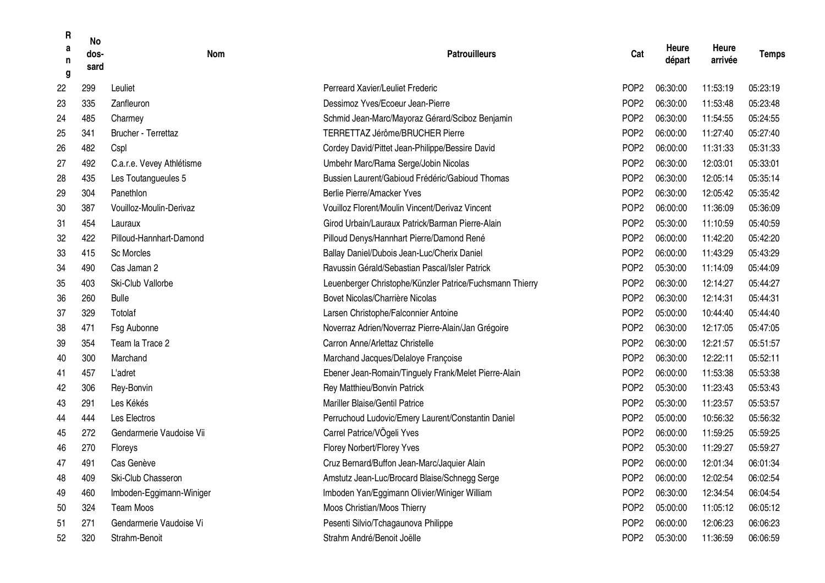| R<br>a<br>n<br>g | <b>No</b><br>dos-<br>sard | <b>Nom</b>                | <b>Patrouilleurs</b>                                     | Cat              | Heure<br>départ | Heure<br>arrivée | <b>Temps</b> |
|------------------|---------------------------|---------------------------|----------------------------------------------------------|------------------|-----------------|------------------|--------------|
| 22               | 299                       | Leuliet                   | Perreard Xavier/Leuliet Frederic                         | POP <sub>2</sub> | 06:30:00        | 11:53:19         | 05:23:19     |
| 23               | 335                       | Zanfleuron                | Dessimoz Yves/Ecoeur Jean-Pierre                         | POP <sub>2</sub> | 06:30:00        | 11:53:48         | 05:23:48     |
| 24               | 485                       | Charmey                   | Schmid Jean-Marc/Mayoraz Gérard/Sciboz Benjamin          | POP <sub>2</sub> | 06:30:00        | 11:54:55         | 05:24:55     |
| 25               | 341                       | Brucher - Terrettaz       | TERRETTAZ Jérôme/BRUCHER Pierre                          | POP <sub>2</sub> | 06:00:00        | 11:27:40         | 05:27:40     |
| 26               | 482                       | Cspl                      | Cordey David/Pittet Jean-Philippe/Bessire David          | POP <sub>2</sub> | 06:00:00        | 11:31:33         | 05:31:33     |
| 27               | 492                       | C.a.r.e. Vevey Athlétisme | Umbehr Marc/Rama Serge/Jobin Nicolas                     | POP <sub>2</sub> | 06:30:00        | 12:03:01         | 05:33:01     |
| 28               | 435                       | Les Toutangueules 5       | Bussien Laurent/Gabioud Frédéric/Gabioud Thomas          | POP <sub>2</sub> | 06:30:00        | 12:05:14         | 05:35:14     |
| 29               | 304                       | Panethlon                 | Berlie Pierre/Amacker Yves                               | POP <sub>2</sub> | 06:30:00        | 12:05:42         | 05:35:42     |
| 30               | 387                       | Vouilloz-Moulin-Derivaz   | Vouilloz Florent/Moulin Vincent/Derivaz Vincent          | POP <sub>2</sub> | 06:00:00        | 11:36:09         | 05:36:09     |
| 31               | 454                       | Lauraux                   | Girod Urbain/Lauraux Patrick/Barman Pierre-Alain         | POP <sub>2</sub> | 05:30:00        | 11:10:59         | 05:40:59     |
| 32               | 422                       | Pilloud-Hannhart-Damond   | Pilloud Denys/Hannhart Pierre/Damond René                | POP <sub>2</sub> | 06:00:00        | 11:42:20         | 05:42:20     |
| 33               | 415                       | Sc Morcles                | Ballay Daniel/Dubois Jean-Luc/Cherix Daniel              | POP <sub>2</sub> | 06:00:00        | 11:43:29         | 05:43:29     |
| 34               | 490                       | Cas Jaman 2               | Ravussin Gérald/Sebastian Pascal/Isler Patrick           | POP <sub>2</sub> | 05:30:00        | 11:14:09         | 05:44:09     |
| 35               | 403                       | Ski-Club Vallorbe         | Leuenberger Christophe/Künzler Patrice/Fuchsmann Thierry | POP <sub>2</sub> | 06:30:00        | 12:14:27         | 05:44:27     |
| 36               | 260                       | <b>Bulle</b>              | Bovet Nicolas/Charrière Nicolas                          | POP <sub>2</sub> | 06:30:00        | 12:14:31         | 05:44:31     |
| 37               | 329                       | Totolaf                   | Larsen Christophe/Falconnier Antoine                     | POP <sub>2</sub> | 05:00:00        | 10:44:40         | 05:44:40     |
| 38               | 471                       | Fsg Aubonne               | Noverraz Adrien/Noverraz Pierre-Alain/Jan Grégoire       | POP <sub>2</sub> | 06:30:00        | 12:17:05         | 05:47:05     |
| 39               | 354                       | Team la Trace 2           | Carron Anne/Arlettaz Christelle                          | POP <sub>2</sub> | 06:30:00        | 12:21:57         | 05:51:57     |
| 40               | 300                       | Marchand                  | Marchand Jacques/Delaloye Françoise                      | POP <sub>2</sub> | 06:30:00        | 12:22:11         | 05:52:11     |
| 41               | 457                       | L'adret                   | Ebener Jean-Romain/Tinguely Frank/Melet Pierre-Alain     | POP <sub>2</sub> | 06:00:00        | 11:53:38         | 05:53:38     |
| 42               | 306                       | Rey-Bonvin                | Rey Matthieu/Bonvin Patrick                              | POP <sub>2</sub> | 05:30:00        | 11:23:43         | 05:53:43     |
| 43               | 291                       | Les Kékés                 | Mariller Blaise/Gentil Patrice                           | POP <sub>2</sub> | 05:30:00        | 11:23:57         | 05:53:57     |
| 44               | 444                       | Les Electros              | Perruchoud Ludovic/Emery Laurent/Constantin Daniel       | POP <sub>2</sub> | 05:00:00        | 10:56:32         | 05:56:32     |
| 45               | 272                       | Gendarmerie Vaudoise Vii  | Carrel Patrice/VÖgeli Yves                               | POP <sub>2</sub> | 06:00:00        | 11:59:25         | 05:59:25     |
| 46               | 270                       | Floreys                   | Florey Norbert/Florey Yves                               | POP <sub>2</sub> | 05:30:00        | 11:29:27         | 05:59:27     |
| 47               | 491                       | Cas Genève                | Cruz Bernard/Buffon Jean-Marc/Jaquier Alain              | POP <sub>2</sub> | 06:00:00        | 12:01:34         | 06:01:34     |
| 48               | 409                       | Ski-Club Chasseron        | Amstutz Jean-Luc/Brocard Blaise/Schnegg Serge            | POP <sub>2</sub> | 06:00:00        | 12:02:54         | 06:02:54     |
| 49               | 460                       | Imboden-Eggimann-Winiger  | Imboden Yan/Eggimann Olivier/Winiger William             | POP <sub>2</sub> | 06:30:00        | 12:34:54         | 06:04:54     |
| 50               | 324                       | <b>Team Moos</b>          | Moos Christian/Moos Thierry                              | POP <sub>2</sub> | 05:00:00        | 11:05:12         | 06:05:12     |
| 51               | 271                       | Gendarmerie Vaudoise Vi   | Pesenti Silvio/Tchagaunova Philippe                      | POP <sub>2</sub> | 06:00:00        | 12:06:23         | 06:06:23     |
| 52               | 320                       | Strahm-Benoit             | Strahm André/Benoit Joëlle                               | POP <sub>2</sub> | 05:30:00        | 11:36:59         | 06:06:59     |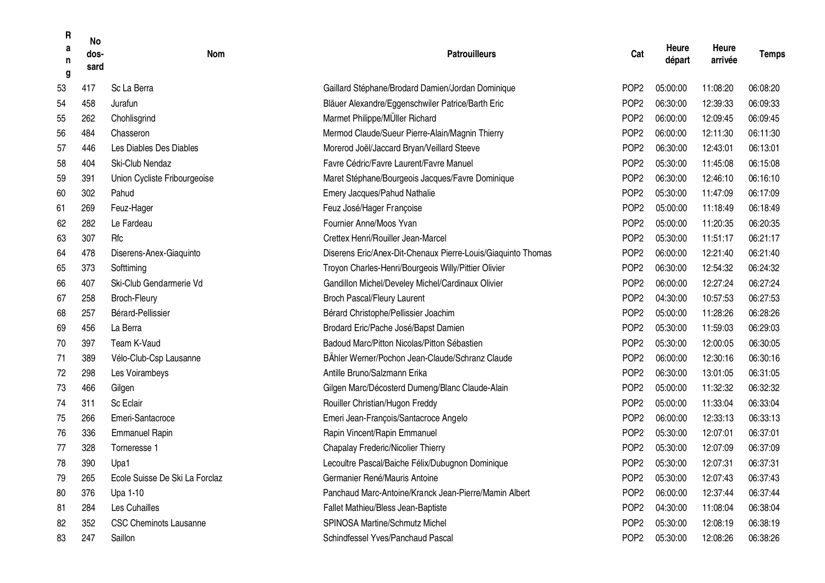| R<br>a<br>n<br>g | <b>No</b><br>dos-<br>sard | Nom                            | <b>Patrouilleurs</b>                                         | Cat              | Heure<br>départ | Heure<br>arrivée | <b>Temps</b> |
|------------------|---------------------------|--------------------------------|--------------------------------------------------------------|------------------|-----------------|------------------|--------------|
| 53               | 417                       | Sc La Berra                    | Gaillard Stéphane/Brodard Damien/Jordan Dominique            | POP <sub>2</sub> | 05:00:00        | 11:08:20         | 06:08:20     |
| 54               | 458                       | Jurafun                        | Bläuer Alexandre/Eggenschwiler Patrice/Barth Eric            | POP <sub>2</sub> | 06:30:00        | 12:39:33         | 06:09:33     |
| 55               | 262                       | Chohlisgrind                   | Marmet Philippe/MÜller Richard                               | POP <sub>2</sub> | 06:00:00        | 12:09:45         | 06:09:45     |
| 56               | 484                       | Chasseron                      | Mermod Claude/Sueur Pierre-Alain/Magnin Thierry              | POP <sub>2</sub> | 06:00:00        | 12:11:30         | 06:11:30     |
| 57               | 446                       | Les Diables Des Diables        | Morerod Joël/Jaccard Bryan/Veillard Steeve                   | POP <sub>2</sub> | 06:30:00        | 12:43:01         | 06:13:01     |
| 58               | 404                       | Ski-Club Nendaz                | Favre Cédric/Favre Laurent/Favre Manuel                      | POP <sub>2</sub> | 05:30:00        | 11:45:08         | 06:15:08     |
| 59               | 391                       | Union Cycliste Fribourgeoise   | Maret Stéphane/Bourgeois Jacques/Favre Dominique             | POP <sub>2</sub> | 06:30:00        | 12:46:10         | 06:16:10     |
| 60               | 302                       | Pahud                          | Emery Jacques/Pahud Nathalie                                 | POP <sub>2</sub> | 05:30:00        | 11:47:09         | 06:17:09     |
| 61               | 269                       | Feuz-Hager                     | Feuz José/Hager Françoise                                    | POP <sub>2</sub> | 05:00:00        | 11:18:49         | 06:18:49     |
| 62               | 282                       | Le Fardeau                     | Fournier Anne/Moos Yvan                                      | POP <sub>2</sub> | 05:00:00        | 11:20:35         | 06:20:35     |
| 63               | 307                       | Rfc                            | Crettex Henri/Rouiller Jean-Marcel                           | POP <sub>2</sub> | 05:30:00        | 11:51:17         | 06:21:17     |
| 64               | 478                       | Diserens-Anex-Giaquinto        | Diserens Eric/Anex-Dit-Chenaux Pierre-Louis/Giaquinto Thomas | POP <sub>2</sub> | 06:00:00        | 12:21:40         | 06:21:40     |
| 65               | 373                       | Softtiming                     | Troyon Charles-Henri/Bourgeois Willy/Pittier Olivier         | POP <sub>2</sub> | 06:30:00        | 12:54:32         | 06:24:32     |
| 66               | 407                       | Ski-Club Gendarmerie Vd        | Gandillon Michel/Develey Michel/Cardinaux Olivier            | POP <sub>2</sub> | 06:00:00        | 12:27:24         | 06:27:24     |
| 67               | 258                       | <b>Broch-Fleury</b>            | Broch Pascal/Fleury Laurent                                  | POP <sub>2</sub> | 04:30:00        | 10:57:53         | 06:27:53     |
| 68               | 257                       | Bérard-Pellissier              | Bérard Christophe/Pellissier Joachim                         | POP <sub>2</sub> | 05:00:00        | 11:28:26         | 06:28:26     |
| 69               | 456                       | La Berra                       | Brodard Eric/Pache José/Bapst Damien                         | POP <sub>2</sub> | 05:30:00        | 11:59:03         | 06:29:03     |
| 70               | 397                       | Team K-Vaud                    | Badoud Marc/Pitton Nicolas/Pitton Sébastien                  | POP <sub>2</sub> | 05:30:00        | 12:00:05         | 06:30:05     |
| 71               | 389                       | Vélo-Club-Csp Lausanne         | BÄhler Werner/Pochon Jean-Claude/Schranz Claude              | POP <sub>2</sub> | 06:00:00        | 12:30:16         | 06:30:16     |
| 72               | 298                       | Les Voirambeys                 | Antille Bruno/Salzmann Erika                                 | POP <sub>2</sub> | 06:30:00        | 13:01:05         | 06:31:05     |
| 73               | 466                       | Gilgen                         | Gilgen Marc/Décosterd Dumeng/Blanc Claude-Alain              | POP <sub>2</sub> | 05:00:00        | 11:32:32         | 06:32:32     |
| 74               | 311                       | Sc Eclair                      | Rouiller Christian/Hugon Freddy                              | POP <sub>2</sub> | 05:00:00        | 11:33:04         | 06:33:04     |
| 75               | 266                       | Emeri-Santacroce               | Emeri Jean-François/Santacroce Angelo                        | POP <sub>2</sub> | 06:00:00        | 12:33:13         | 06:33:13     |
| 76               | 336                       | <b>Emmanuel Rapin</b>          | Rapin Vincent/Rapin Emmanuel                                 | POP <sub>2</sub> | 05:30:00        | 12:07:01         | 06:37:01     |
| 77               | 328                       | Torneresse 1                   | Chapalay Frederic/Nicolier Thierry                           | POP <sub>2</sub> | 05:30:00        | 12:07:09         | 06:37:09     |
| 78               | 390                       | Upa1                           | Lecoultre Pascal/Baiche Félix/Dubugnon Dominique             | POP <sub>2</sub> | 05:30:00        | 12:07:31         | 06:37:31     |
| 79               | 265                       | Ecole Suisse De Ski La Forclaz | Germanier René/Mauris Antoine                                | POP <sub>2</sub> | 05:30:00        | 12:07:43         | 06:37:43     |
| 80               | 376                       | Upa 1-10                       | Panchaud Marc-Antoine/Kranck Jean-Pierre/Mamin Albert        | POP <sub>2</sub> | 06:00:00        | 12:37:44         | 06:37:44     |
| 81               | 284                       | Les Cuhailles                  | Fallet Mathieu/Bless Jean-Baptiste                           | POP <sub>2</sub> | 04:30:00        | 11:08:04         | 06:38:04     |
| 82               | 352                       | <b>CSC Cheminots Lausanne</b>  | SPINOSA Martine/Schmutz Michel                               | POP <sub>2</sub> | 05:30:00        | 12:08:19         | 06:38:19     |
| 83               | 247                       | Saillon                        | Schindfessel Yves/Panchaud Pascal                            | POP <sub>2</sub> | 05:30:00        | 12:08:26         | 06:38:26     |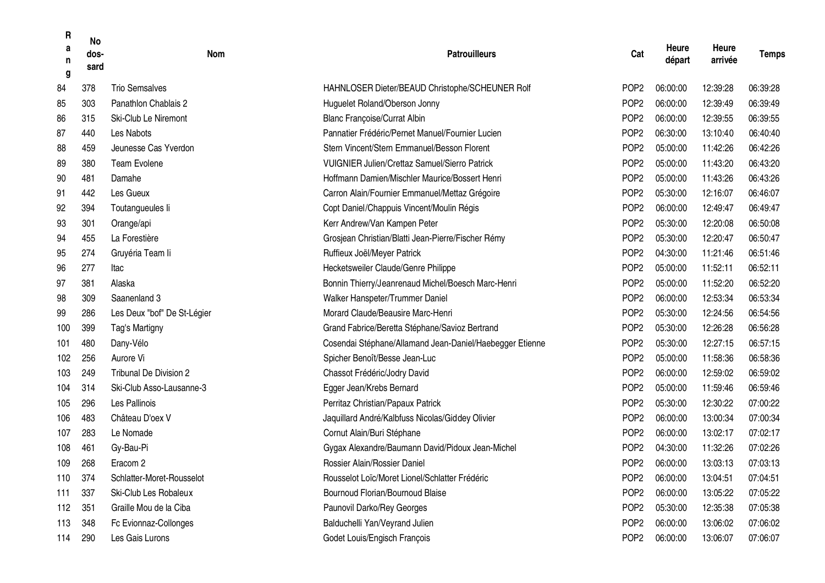| R<br>а<br>n<br>g | <b>No</b><br>dos-<br>sard | <b>Nom</b>                    | <b>Patrouilleurs</b>                                     | Cat              | Heure<br>départ | Heure<br>arrivée | <b>Temps</b> |
|------------------|---------------------------|-------------------------------|----------------------------------------------------------|------------------|-----------------|------------------|--------------|
| 84               | 378                       | <b>Trio Semsalves</b>         | HAHNLOSER Dieter/BEAUD Christophe/SCHEUNER Rolf          | POP <sub>2</sub> | 06:00:00        | 12:39:28         | 06:39:28     |
| 85               | 303                       | Panathlon Chablais 2          | Huguelet Roland/Oberson Jonny                            | POP <sub>2</sub> | 06:00:00        | 12:39:49         | 06:39:49     |
| 86               | 315                       | Ski-Club Le Niremont          | <b>Blanc Françoise/Currat Albin</b>                      | POP <sub>2</sub> | 06:00:00        | 12:39:55         | 06:39:55     |
| 87               | 440                       | Les Nabots                    | Pannatier Frédéric/Pernet Manuel/Fournier Lucien         | POP <sub>2</sub> | 06:30:00        | 13:10:40         | 06:40:40     |
| 88               | 459                       | Jeunesse Cas Yverdon          | Stern Vincent/Stern Emmanuel/Besson Florent              | POP <sub>2</sub> | 05:00:00        | 11:42:26         | 06:42:26     |
| 89               | 380                       | <b>Team Evolene</b>           | <b>VUIGNIER Julien/Crettaz Samuel/Sierro Patrick</b>     | POP <sub>2</sub> | 05:00:00        | 11:43:20         | 06:43:20     |
| 90               | 481                       | Damahe                        | Hoffmann Damien/Mischler Maurice/Bossert Henri           | POP <sub>2</sub> | 05:00:00        | 11:43:26         | 06:43:26     |
| 91               | 442                       | Les Gueux                     | Carron Alain/Fournier Emmanuel/Mettaz Grégoire           | POP <sub>2</sub> | 05:30:00        | 12:16:07         | 06:46:07     |
| 92               | 394                       | Toutangueules li              | Copt Daniel/Chappuis Vincent/Moulin Régis                | POP <sub>2</sub> | 06:00:00        | 12:49:47         | 06:49:47     |
| 93               | 301                       | Orange/api                    | Kerr Andrew/Van Kampen Peter                             | POP <sub>2</sub> | 05:30:00        | 12:20:08         | 06:50:08     |
| 94               | 455                       | La Forestière                 | Grosjean Christian/Blatti Jean-Pierre/Fischer Rémy       | POP <sub>2</sub> | 05:30:00        | 12:20:47         | 06:50:47     |
| 95               | 274                       | Gruyéria Team li              | Ruffieux Joël/Meyer Patrick                              | POP <sub>2</sub> | 04:30:00        | 11:21:46         | 06:51:46     |
| 96               | 277                       | Itac                          | Hecketsweiler Claude/Genre Philippe                      | POP <sub>2</sub> | 05:00:00        | 11:52:11         | 06:52:11     |
| 97               | 381                       | Alaska                        | Bonnin Thierry/Jeanrenaud Michel/Boesch Marc-Henri       | POP <sub>2</sub> | 05:00:00        | 11:52:20         | 06:52:20     |
| 98               | 309                       | Saanenland 3                  | Walker Hanspeter/Trummer Daniel                          | POP <sub>2</sub> | 06:00:00        | 12:53:34         | 06:53:34     |
| 99               | 286                       | Les Deux "bof" De St-Légier   | Morard Claude/Beausire Marc-Henri                        | POP <sub>2</sub> | 05:30:00        | 12:24:56         | 06:54:56     |
| 100              | 399                       | Tag's Martigny                | Grand Fabrice/Beretta Stéphane/Savioz Bertrand           | POP <sub>2</sub> | 05:30:00        | 12:26:28         | 06:56:28     |
| 101              | 480                       | Dany-Vélo                     | Cosendai Stéphane/Allamand Jean-Daniel/Haebegger Etienne | POP <sub>2</sub> | 05:30:00        | 12:27:15         | 06:57:15     |
| 102              | 256                       | Aurore Vi                     | Spicher Benoît/Besse Jean-Luc                            | POP <sub>2</sub> | 05:00:00        | 11:58:36         | 06:58:36     |
| 103              | 249                       | <b>Tribunal De Division 2</b> | Chassot Frédéric/Jodry David                             | POP <sub>2</sub> | 06:00:00        | 12:59:02         | 06:59:02     |
| 104              | 314                       | Ski-Club Asso-Lausanne-3      | Egger Jean/Krebs Bernard                                 | POP <sub>2</sub> | 05:00:00        | 11:59:46         | 06:59:46     |
| 105              | 296                       | Les Pallinois                 | Perritaz Christian/Papaux Patrick                        | POP <sub>2</sub> | 05:30:00        | 12:30:22         | 07:00:22     |
| 106              | 483                       | Château D'oex V               | Jaquillard André/Kalbfuss Nicolas/Giddey Olivier         | POP <sub>2</sub> | 06:00:00        | 13:00:34         | 07:00:34     |
| 107              | 283                       | Le Nomade                     | Cornut Alain/Buri Stéphane                               | POP <sub>2</sub> | 06:00:00        | 13:02:17         | 07:02:17     |
| 108              | 461                       | Gy-Bau-Pi                     | Gygax Alexandre/Baumann David/Pidoux Jean-Michel         | POP <sub>2</sub> | 04:30:00        | 11:32:26         | 07:02:26     |
| 109              | 268                       | Eracom <sub>2</sub>           | Rossier Alain/Rossier Daniel                             | POP <sub>2</sub> | 06:00:00        | 13:03:13         | 07:03:13     |
| 110              | 374                       | Schlatter-Moret-Rousselot     | Rousselot Loïc/Moret Lionel/Schlatter Frédéric           | POP <sub>2</sub> | 06:00:00        | 13:04:51         | 07:04:51     |
| 111              | 337                       | Ski-Club Les Robaleux         | Bournoud Florian/Bournoud Blaise                         | POP <sub>2</sub> | 06:00:00        | 13:05:22         | 07:05:22     |
| 112              | 351                       | Graille Mou de la Ciba        | Paunovil Darko/Rey Georges                               | POP <sub>2</sub> | 05:30:00        | 12:35:38         | 07:05:38     |
| 113              | 348                       | Fc Evionnaz-Collonges         | Balduchelli Yan/Veyrand Julien                           | POP <sub>2</sub> | 06:00:00        | 13:06:02         | 07:06:02     |
| 114              | 290                       | Les Gais Lurons               | Godet Louis/Engisch François                             | POP <sub>2</sub> | 06:00:00        | 13:06:07         | 07:06:07     |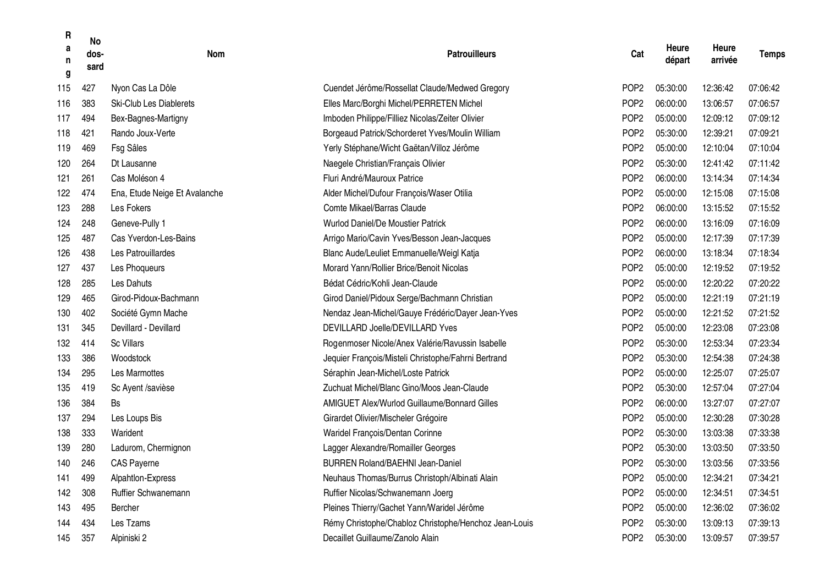| R<br>a<br>n<br>g | <b>No</b><br>dos-<br>sard | Nom                            | <b>Patrouilleurs</b>                                  | Cat              | Heure<br>départ | Heure<br>arrivée | <b>Temps</b> |
|------------------|---------------------------|--------------------------------|-------------------------------------------------------|------------------|-----------------|------------------|--------------|
| 115              | 427                       | Nyon Cas La Dôle               | Cuendet Jérôme/Rossellat Claude/Medwed Gregory        | POP <sub>2</sub> | 05:30:00        | 12:36:42         | 07:06:42     |
| 116              | 383                       | <b>Ski-Club Les Diablerets</b> | Elles Marc/Borghi Michel/PERRETEN Michel              | POP <sub>2</sub> | 06:00:00        | 13:06:57         | 07:06:57     |
| 117              | 494                       | Bex-Bagnes-Martigny            | Imboden Philippe/Filliez Nicolas/Zeiter Olivier       | POP <sub>2</sub> | 05:00:00        | 12:09:12         | 07:09:12     |
| 118              | 421                       | Rando Joux-Verte               | Borgeaud Patrick/Schorderet Yves/Moulin William       | POP <sub>2</sub> | 05:30:00        | 12:39:21         | 07:09:21     |
| 119              | 469                       | Fsg Sâles                      | Yerly Stéphane/Wicht Gaëtan/Villoz Jérôme             | POP <sub>2</sub> | 05:00:00        | 12:10:04         | 07:10:04     |
| 120              | 264                       | Dt Lausanne                    | Naegele Christian/Français Olivier                    | POP <sub>2</sub> | 05:30:00        | 12:41:42         | 07:11:42     |
| 121              | 261                       | Cas Moléson 4                  | Fluri André/Mauroux Patrice                           | POP <sub>2</sub> | 06:00:00        | 13:14:34         | 07:14:34     |
| 122              | 474                       | Ena, Etude Neige Et Avalanche  | Alder Michel/Dufour François/Waser Otilia             | POP <sub>2</sub> | 05:00:00        | 12:15:08         | 07:15:08     |
| 123              | 288                       | Les Fokers                     | Comte Mikael/Barras Claude                            | POP <sub>2</sub> | 06:00:00        | 13:15:52         | 07:15:52     |
| 124              | 248                       | Geneve-Pully 1                 | <b>Wurlod Daniel/De Moustier Patrick</b>              | POP <sub>2</sub> | 06:00:00        | 13:16:09         | 07:16:09     |
| 125              | 487                       | Cas Yverdon-Les-Bains          | Arrigo Mario/Cavin Yves/Besson Jean-Jacques           | POP <sub>2</sub> | 05:00:00        | 12:17:39         | 07:17:39     |
| 126              | 438                       | Les Patrouillardes             | Blanc Aude/Leuliet Emmanuelle/Weigl Katja             | POP <sub>2</sub> | 06:00:00        | 13:18:34         | 07:18:34     |
| 127              | 437                       | Les Phoqueurs                  | Morard Yann/Rollier Brice/Benoit Nicolas              | POP <sub>2</sub> | 05:00:00        | 12:19:52         | 07:19:52     |
| 128              | 285                       | Les Dahuts                     | Bédat Cédric/Kohli Jean-Claude                        | POP <sub>2</sub> | 05:00:00        | 12:20:22         | 07:20:22     |
| 129              | 465                       | Girod-Pidoux-Bachmann          | Girod Daniel/Pidoux Serge/Bachmann Christian          | POP <sub>2</sub> | 05:00:00        | 12:21:19         | 07:21:19     |
| 130              | 402                       | Société Gymn Mache             | Nendaz Jean-Michel/Gauye Frédéric/Dayer Jean-Yves     | POP <sub>2</sub> | 05:00:00        | 12:21:52         | 07:21:52     |
| 131              | 345                       | Devillard - Devillard          | DEVILLARD Joelle/DEVILLARD Yves                       | POP <sub>2</sub> | 05:00:00        | 12:23:08         | 07:23:08     |
| 132              | 414                       | <b>Sc Villars</b>              | Rogenmoser Nicole/Anex Valérie/Ravussin Isabelle      | POP <sub>2</sub> | 05:30:00        | 12:53:34         | 07:23:34     |
| 133              | 386                       | Woodstock                      | Jequier François/Misteli Christophe/Fahrni Bertrand   | POP <sub>2</sub> | 05:30:00        | 12:54:38         | 07:24:38     |
| 134              | 295                       | Les Marmottes                  | Séraphin Jean-Michel/Loste Patrick                    | POP <sub>2</sub> | 05:00:00        | 12:25:07         | 07:25:07     |
| 135              | 419                       | Sc Ayent /savièse              | Zuchuat Michel/Blanc Gino/Moos Jean-Claude            | POP <sub>2</sub> | 05:30:00        | 12:57:04         | 07:27:04     |
| 136              | 384                       | Bs                             | <b>AMIGUET Alex/Wurlod Guillaume/Bonnard Gilles</b>   | POP <sub>2</sub> | 06:00:00        | 13:27:07         | 07:27:07     |
| 137              | 294                       | Les Loups Bis                  | Girardet Olivier/Mischeler Grégoire                   | POP <sub>2</sub> | 05:00:00        | 12:30:28         | 07:30:28     |
| 138              | 333                       | Warident                       | Waridel François/Dentan Corinne                       | POP <sub>2</sub> | 05:30:00        | 13:03:38         | 07:33:38     |
| 139              | 280                       | Ladurom, Chermignon            | Lagger Alexandre/Romailler Georges                    | POP <sub>2</sub> | 05:30:00        | 13:03:50         | 07:33:50     |
| 140              | 246                       | <b>CAS Payerne</b>             | <b>BURREN Roland/BAEHNI Jean-Daniel</b>               | POP <sub>2</sub> | 05:30:00        | 13:03:56         | 07:33:56     |
| 141              | 499                       | Alpahtlon-Express              | Neuhaus Thomas/Burrus Christoph/Albinati Alain        | POP <sub>2</sub> | 05:00:00        | 12:34:21         | 07:34:21     |
| 142              | 308                       | Ruffier Schwanemann            | Ruffier Nicolas/Schwanemann Joerg                     | POP <sub>2</sub> | 05:00:00        | 12:34:51         | 07:34:51     |
| 143              | 495                       | Bercher                        | Pleines Thierry/Gachet Yann/Waridel Jérôme            | POP <sub>2</sub> | 05:00:00        | 12:36:02         | 07:36:02     |
| 144              | 434                       | Les Tzams                      | Rémy Christophe/Chabloz Christophe/Henchoz Jean-Louis | POP <sub>2</sub> | 05:30:00        | 13:09:13         | 07:39:13     |
| 145              | 357                       | Alpiniski 2                    | Decaillet Guillaume/Zanolo Alain                      | POP <sub>2</sub> | 05:30:00        | 13:09:57         | 07:39:57     |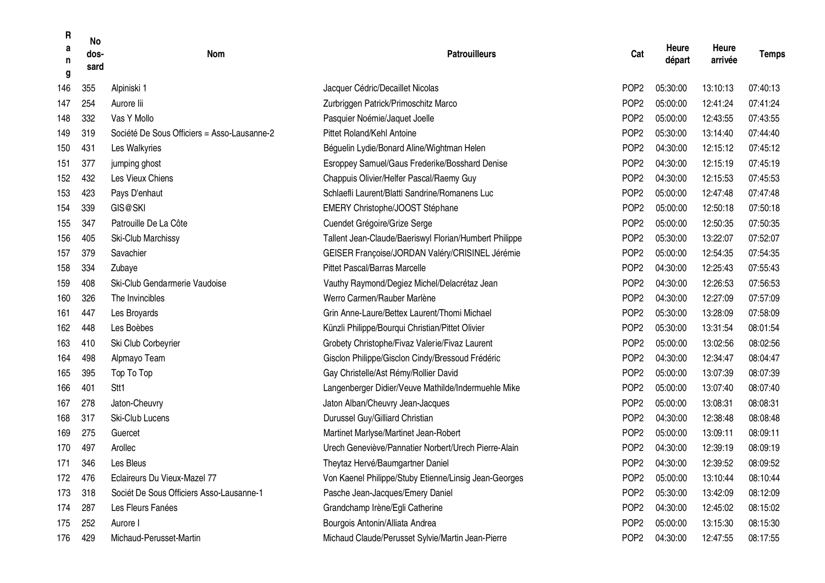| R<br>a<br>n<br>g | <b>No</b><br>dos-<br>sard | Nom                                         | <b>Patrouilleurs</b>                                   | Cat              | Heure<br>départ | Heure<br>arrivée | <b>Temps</b> |
|------------------|---------------------------|---------------------------------------------|--------------------------------------------------------|------------------|-----------------|------------------|--------------|
| 146              | 355                       | Alpiniski 1                                 | Jacquer Cédric/Decaillet Nicolas                       | POP <sub>2</sub> | 05:30:00        | 13:10:13         | 07:40:13     |
| 147              | 254                       | Aurore lii                                  | Zurbriggen Patrick/Primoschitz Marco                   | POP <sub>2</sub> | 05:00:00        | 12:41:24         | 07:41:24     |
| 148              | 332                       | Vas Y Mollo                                 | Pasquier Noémie/Jaquet Joelle                          | POP <sub>2</sub> | 05:00:00        | 12:43:55         | 07:43:55     |
| 149              | 319                       | Société De Sous Officiers = Asso-Lausanne-2 | Pittet Roland/Kehl Antoine                             | POP <sub>2</sub> | 05:30:00        | 13:14:40         | 07:44:40     |
| 150              | 431                       | Les Walkyries                               | Béguelin Lydie/Bonard Aline/Wightman Helen             | POP <sub>2</sub> | 04:30:00        | 12:15:12         | 07:45:12     |
| 151              | 377                       | jumping ghost                               | Esroppey Samuel/Gaus Frederike/Bosshard Denise         | POP <sub>2</sub> | 04:30:00        | 12:15:19         | 07:45:19     |
| 152              | 432                       | Les Vieux Chiens                            | Chappuis Olivier/Helfer Pascal/Raemy Guy               | POP <sub>2</sub> | 04:30:00        | 12:15:53         | 07:45:53     |
| 153              | 423                       | Pays D'enhaut                               | Schlaefli Laurent/Blatti Sandrine/Romanens Luc         | POP <sub>2</sub> | 05:00:00        | 12:47:48         | 07:47:48     |
| 154              | 339                       | GIS@SKI                                     | EMERY Christophe/JOOST Stéphane                        | POP <sub>2</sub> | 05:00:00        | 12:50:18         | 07:50:18     |
| 155              | 347                       | Patrouille De La Côte                       | Cuendet Grégoire/Grize Serge                           | POP <sub>2</sub> | 05:00:00        | 12:50:35         | 07:50:35     |
| 156              | 405                       | Ski-Club Marchissy                          | Tallent Jean-Claude/Baeriswyl Florian/Humbert Philippe | POP <sub>2</sub> | 05:30:00        | 13:22:07         | 07:52:07     |
| 157              | 379                       | Savachier                                   | GEISER Françoise/JORDAN Valéry/CRISINEL Jérémie        | POP <sub>2</sub> | 05:00:00        | 12:54:35         | 07:54:35     |
| 158              | 334                       | Zubaye                                      | Pittet Pascal/Barras Marcelle                          | POP <sub>2</sub> | 04:30:00        | 12:25:43         | 07:55:43     |
| 159              | 408                       | Ski-Club Gendarmerie Vaudoise               | Vauthy Raymond/Degiez Michel/Delacrétaz Jean           | POP <sub>2</sub> | 04:30:00        | 12:26:53         | 07:56:53     |
| 160              | 326                       | The Invincibles                             | Werro Carmen/Rauber Marlène                            | POP <sub>2</sub> | 04:30:00        | 12:27:09         | 07:57:09     |
| 161              | 447                       | Les Broyards                                | Grin Anne-Laure/Bettex Laurent/Thomi Michael           | POP <sub>2</sub> | 05:30:00        | 13:28:09         | 07:58:09     |
| 162              | 448                       | Les Boèbes                                  | Künzli Philippe/Bourqui Christian/Pittet Olivier       | POP <sub>2</sub> | 05:30:00        | 13:31:54         | 08:01:54     |
| 163              | 410                       | Ski Club Corbeyrier                         | Grobety Christophe/Fivaz Valerie/Fivaz Laurent         | POP <sub>2</sub> | 05:00:00        | 13:02:56         | 08:02:56     |
| 164              | 498                       | Alpmayo Team                                | Gisclon Philippe/Gisclon Cindy/Bressoud Frédéric       | POP <sub>2</sub> | 04:30:00        | 12:34:47         | 08:04:47     |
| 165              | 395                       | Top To Top                                  | Gay Christelle/Ast Rémy/Rollier David                  | POP <sub>2</sub> | 05:00:00        | 13:07:39         | 08:07:39     |
| 166              | 401                       | Stt <sub>1</sub>                            | Langenberger Didier/Veuve Mathilde/Indermuehle Mike    | POP <sub>2</sub> | 05:00:00        | 13:07:40         | 08:07:40     |
| 167              | 278                       | Jaton-Cheuvry                               | Jaton Alban/Cheuvry Jean-Jacques                       | POP <sub>2</sub> | 05:00:00        | 13:08:31         | 08:08:31     |
| 168              | 317                       | Ski-Club Lucens                             | Durussel Guy/Gilliard Christian                        | POP <sub>2</sub> | 04:30:00        | 12:38:48         | 08:08:48     |
| 169              | 275                       | Guercet                                     | Martinet Marlyse/Martinet Jean-Robert                  | POP <sub>2</sub> | 05:00:00        | 13:09:11         | 08:09:11     |
| 170              | 497                       | Arollec                                     | Urech Geneviève/Pannatier Norbert/Urech Pierre-Alain   | POP <sub>2</sub> | 04:30:00        | 12:39:19         | 08:09:19     |
| 171              | 346                       | Les Bleus                                   | Theytaz Hervé/Baumgartner Daniel                       | POP <sub>2</sub> | 04:30:00        | 12:39:52         | 08:09:52     |
| 172              | 476                       | Eclaireurs Du Vieux-Mazel 77                | Von Kaenel Philippe/Stuby Etienne/Linsig Jean-Georges  | POP <sub>2</sub> | 05:00:00        | 13:10:44         | 08:10:44     |
| 173              | 318                       | Sociét De Sous Officiers Asso-Lausanne-1    | Pasche Jean-Jacques/Emery Daniel                       | POP <sub>2</sub> | 05:30:00        | 13:42:09         | 08:12:09     |
| 174              | 287                       | Les Fleurs Fanées                           | Grandchamp Irène/Egli Catherine                        | POP <sub>2</sub> | 04:30:00        | 12:45:02         | 08:15:02     |
| 175              | 252                       | Aurore I                                    | Bourgois Antonin/Alliata Andrea                        | POP <sub>2</sub> | 05:00:00        | 13:15:30         | 08:15:30     |
| 176              | 429                       | Michaud-Perusset-Martin                     | Michaud Claude/Perusset Sylvie/Martin Jean-Pierre      | POP <sub>2</sub> | 04:30:00        | 12:47:55         | 08:17:55     |